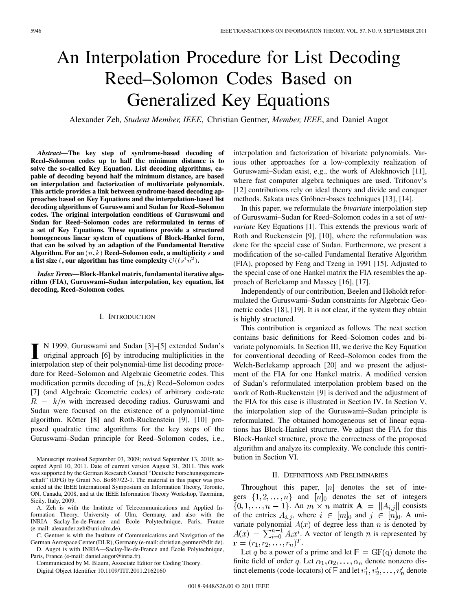# An Interpolation Procedure for List Decoding Reed–Solomon Codes Based on Generalized Key Equations

Alexander Zeh*, Student Member, IEEE*, Christian Gentner*, Member, IEEE*, and Daniel Augot

*Abstract—***The key step of syndrome-based decoding of Reed–Solomon codes up to half the minimum distance is to solve the so-called Key Equation. List decoding algorithms, capable of decoding beyond half the minimum distance, are based on interpolation and factorization of multivariate polynomials. This article provides a link between syndrome-based decoding approaches based on Key Equations and the interpolation-based list decoding algorithms of Guruswami and Sudan for Reed–Solomon codes. The original interpolation conditions of Guruswami and Sudan for Reed–Solomon codes are reformulated in terms of a set of Key Equations. These equations provide a structured homogeneous linear system of equations of Block-Hankel form, that can be solved by an adaption of the Fundamental Iterative**  $\boldsymbol{\mathrm{Algorithm}}$  . For an  $(n, k)$  Reed–Solomon code, a multiplicity  $s$  and **a** list size  $\ell$ , our algorithm has time complexity  $O(\ell s^4 n^2)$ .

*Index Terms—***Block-Hankel matrix, fundamental iterative algorithm (FIA), Guruswami–Sudan interpolation, key equation, list decoding, Reed–Solomon codes.**

#### I. INTRODUCTION

II N 1999, Guruswami and Sudan [3]–[5] extended Sudan's<br>
original approach [6] by introducing multiplicities in the<br>
internalation at the of their polynomial time list decoding proce interpolation step of their polynomial-time list decoding procedure for Reed–Solomon and Algebraic Geometric codes. This modification permits decoding of  $(n, k)$  Reed–Solomon codes [7] (and Algebraic Geometric codes) of arbitrary code-rate  $R = k/n$  with increased decoding radius. Guruswami and Sudan were focused on the existence of a polynomial-time algorithm. Kötter [8] and Roth-Ruckenstein [9], [10] proposed quadratic time algorithms for the key steps of the Guruswami–Sudan principle for Reed–Solomon codes, i.e.,

Manuscript received September 03, 2009; revised September 13, 2010; accepted April 10, 2011. Date of current version August 31, 2011. This work was supported by the German Research Council "Deutsche Forschungsgemeinschaft" (DFG) by Grant No. Bo867/22-1. The material in this paper was presented at the IEEE International Symposium on Information Theory, Toronto, ON, Canada, 2008, and at the IEEE Information Theory Workshop, Taormina, Sicily, Italy, 2009.

A. Zeh is with the Institute of Telecommunications and Applied Information Theory, University of Ulm, Germany, and also with the INRIA—Saclay-Île-de-France and École Polytechnique, Paris, France (e-mail: alexander.zeh@uni-ulm.de).

C. Gentner is with the Institute of Communications and Navigation of the German Aerospace Center (DLR), Germany (e-mail: christian.gentner@dlr.de). D. Augot is with INRIA—Saclay-Île-de-France and École Polytechnique,

Paris, France (e-mail: daniel.augot@inria.fr).

Communicated by M. Blaum, Associate Editor for Coding Theory. Digital Object Identifier 10.1109/TIT.2011.2162160

interpolation and factorization of bivariate polynomials. Various other approaches for a low-complexity realization of Guruswami–Sudan exist, e.g., the work of Alekhnovich [11], where fast computer algebra techniques are used. Trifonov's [12] contributions rely on ideal theory and divide and conquer methods. Sakata uses Gröbner-bases techniques [13], [14].

In this paper, we reformulate the *bivariate* interpolation step of Guruswami–Sudan for Reed–Solomon codes in a set of *univariate* Key Equations [1]. This extends the previous work of Roth and Ruckenstein [9], [10], where the reformulation was done for the special case of Sudan. Furthermore, we present a modification of the so-called Fundamental Iterative Algorithm (FIA), proposed by Feng and Tzeng in 1991 [15]. Adjusted to the special case of one Hankel matrix the FIA resembles the approach of Berlekamp and Massey [16], [17].

Independently of our contribution, Beelen and Høholdt reformulated the Guruswami–Sudan constraints for Algebraic Geometric codes [18], [19]. It is not clear, if the system they obtain is highly structured.

This contribution is organized as follows. The next section contains basic definitions for Reed–Solomon codes and bivariate polynomials. In Section III, we derive the Key Equation for conventional decoding of Reed–Solomon codes from the Welch-Berlekamp approach [20] and we present the adjustment of the FIA for one Hankel matrix. A modified version of Sudan's reformulated interpolation problem based on the work of Roth-Ruckenstein [9] is derived and the adjustment of the FIA for this case is illustrated in Section IV. In Section V, the interpolation step of the Guruswami–Sudan principle is reformulated. The obtained homogeneous set of linear equations has Block-Hankel structure. We adjust the FIA for this Block-Hankel structure, prove the correctness of the proposed algorithm and analyze its complexity. We conclude this contribution in Section VI.

### II. DEFINITIONS AND PRELIMINARIES

Throughout this paper,  $[n]$  denotes the set of integers  $\{1, 2, ..., n\}$  and  $[n]_0$  denotes the set of integers  $\{0,1,\ldots,n-1\}$ . An  $m \times n$  matrix  $\mathbf{A} = ||A_{i,j}||$  consists of the entries  $A_{i,j}$ , where  $i \in [m]_0$  and  $j \in [n]_0$ . A univariate polynomial  $A(x)$  of degree less than n is denoted by  $A(x) = \sum_{i=0}^{n-1} A_i x^i$ . A vector of length n is represented by  $\mathbf{r} = (r_1, r_2, \dots, r_n)^T.$ 

Let q be a power of a prime and let  $\mathbb{F} = \text{GF(q)}$  denote the finite field of order q. Let  $\alpha_1, \alpha_2, \dots, \alpha_n$  denote nonzero distinct elements (code-locators) of  $\mathbb F$  and let  $v'_1, v'_2, \ldots, v'_n$  denote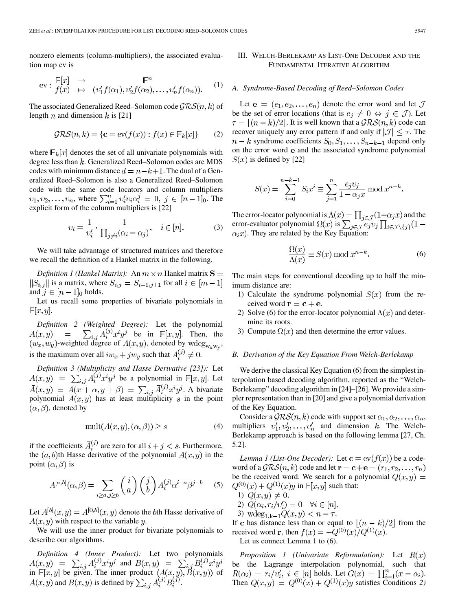nonzero elements (column-multipliers), the associated evaluation map ev is

$$
\text{ev}: \begin{array}{ll}\n\mathbb{F}[x] & \to \\
f(x) & \mapsto \\
\text{(v'_1f(\alpha_1), v'_2f(\alpha_2), \dots, v'_n f(\alpha_n))}.\n\end{array} \tag{1}
$$

The associated Generalized Reed–Solomon code  $\mathcal{GRS}(n, k)$  of length n and dimension k is [21]

$$
\mathcal{GRS}(n,k) = \{ \mathbf{c} = \text{ev}(f(x)) : f(x) \in \mathbb{F}_k[x] \} \tag{2}
$$

where  $\mathbb{F}_k[x]$  denotes the set of all univariate polynomials with degree less than  $k$ . Generalized Reed–Solomon codes are MDS codes with minimum distance  $d = n - k + 1$ . The dual of a Generalized Reed–Solomon is also a Generalized Reed–Solomon code with the same code locators and column multipliers  $v_1, v_2, \ldots, v_n$ , where  $\sum_{i=1}^n v'_i v_i \alpha_i^j = 0, j \in [n-1]_0$ . The explicit form of the column multipliers is [22]

$$
\upsilon_i = \frac{1}{\upsilon_i'} \cdot \frac{1}{\prod_{j \neq i} (\alpha_i - \alpha_j)}, \quad i \in [n]. \tag{3}
$$

We will take advantage of structured matrices and therefore we recall the definition of a Hankel matrix in the following.

*Definition 1 (Hankel Matrix)*: An  $m \times n$  Hankel matrix  $S =$  $||S_{i,j}||$  is a matrix, where  $S_{i,j} = S_{i-1,j+1}$  for all  $i \in [m-1]$ and  $j \in [n-1]_0$  holds.

Let us recall some properties of bivariate polynomials in  $F[x,y].$ 

*Definition 2 (Weighted Degree):* Let the polynomial be in  $\mathbb{F}[x, y]$ . Then, the -weighted degree of  $A(x, y)$ , denoted by  $w \deg_{w \times w}$ , is the maximum over all  $iw_x + jw_y$  such that  $A_i^{(j)} \neq 0$ .

*Definition 3 (Multiplicity and Hasse Derivative [23]):* Let  $A(x,y) = \sum_{i,j} A_i^{(j)} x^i y^j$  be a polynomial in  $\mathbb{F}[x,y]$ . Let . A bivariate polynomial  $A(x, y)$  has at least multiplicity s in the point  $(\alpha, \beta)$ , denoted by

$$
\text{mult}(A(x, y), (\alpha, \beta)) \ge s \tag{4}
$$

if the coefficients  $\bar{A}_i^{(j)}$  are zero for all  $i + j < s$ . Furthermore, the  $(a, b)$ th Hasse derivative of the polynomial  $A(x, y)$  in the point  $(\alpha, \beta)$  is

$$
A^{[a,b]}(\alpha,\beta) = \sum_{i \ge a, j \ge b} \binom{i}{a} \binom{j}{b} A_i^{(j)} \alpha^{i-a} \beta^{j-b} \tag{5}
$$

Let  $A^{[b]}(x, y) = A^{[0,b]}(x, y)$  denote the bth Hasse derivative of  $A(x, y)$  with respect to the variable y.

We will use the inner product for bivariate polynomials to describe our algorithms.

*Definition 4 (Inner Product):* Let two polynomials and in  $\mathbb{F}[x,y]$  be given. The inner product  $\langle A(x,y), B(x,y) \rangle$  of  $A(x, y)$  and  $B(x, y)$  is defined by  $\sum_{i,j} A_i^{(j)} B_i^{(j)}$ .

## III. WELCH-BERLEKAMP AS LIST-ONE DECODER AND THE FUNDAMENTAL ITERATIVE ALGORITHM

#### *A. Syndrome-Based Decoding of Reed–Solomon Codes*

Let  $e = (e_1, e_2, \ldots, e_n)$  denote the error word and let  $\mathcal J$ be the set of error locations (that is  $e_j \neq 0 \Leftrightarrow j \in \mathcal{J}$ ). Let  $\tau = \lfloor (n-k)/2 \rfloor$ . It is well known that a  $\mathcal{GRS}(n,k)$  code can recover uniquely any error pattern if and only if  $|\mathcal{J}| \leq \tau$ . The  $n-k$  syndrome coefficients  $S_0, S_1, \ldots, S_{n-k-1}$  depend only on the error word e and the associated syndrome polynomial  $S(x)$  is defined by [22]

$$
S(x) = \sum_{i=0}^{n-k-1} S_i x^i \equiv \sum_{j=1}^n \frac{e_j v_j}{1 - \alpha_j x} \bmod x^{n-k}.
$$

The error-locator polynomial is  $\Lambda(x) = \prod_{i \in \mathcal{I}} (1 - \alpha_i x)$  and the error-evaluator polynomial  $\Omega(x)$  is  $\alpha_i x$ ). They are related by the Key Equation:

$$
\frac{\Omega(x)}{\Lambda(x)} \equiv S(x) \bmod x^{n-k}.
$$
 (6)

The main steps for conventional decoding up to half the minimum distance are:

- 1) Calculate the syndrome polynomial  $S(x)$  from the received word  $\mathbf{r} = \mathbf{c} + \mathbf{e}$ .
- 2) Solve (6) for the error-locator polynomial  $\Lambda(x)$  and determine its roots.
- 3) Compute  $\Omega(x)$  and then determine the error values.

## *B. Derivation of the Key Equation From Welch-Berlekamp*

We derive the classical Key Equation (6) from the simplest interpolation based decoding algorithm, reported as the "Welch-Berlekamp" decoding algorithm in [24]–[26]. We provide a simpler representation than in [20] and give a polynomial derivation of the Key Equation.

Consider a  $\mathcal{GRS}(n, k)$  code with support set  $\alpha_1, \alpha_2, \dots, \alpha_n$ , multipliers  $v'_1, v'_2, \ldots, v'_n$  and dimension k. The Welch-Berlekamp approach is based on the following lemma [27, Ch. 5.2].

*Lemma 1 (List-One Decoder):* Let  $\mathbf{c} = \text{ev}(f(x))$  be a codeword of a  $\mathcal{GRS}(n,k)$  code and let  $\mathbf{r} = \mathbf{c} + \mathbf{e} = (r_1, r_2, \dots, r_n)$ be the received word. We search for a polynomial  $Q(x, y) =$  $Q^{(0)}(x) + Q^{(1)}(x)y$  in  $\mathbb{F}[x, y]$  such that:

- 1)  $Q(x, y) \neq 0$ ,
- 2)  $Q(\alpha_i, r_i/v_i') = 0 \quad \forall i \in [n],$
- 3)  $\text{wdeg}_{1,k-1}Q(x,y) < n \tau$ .

If c has distance less than or equal to  $|(n-k)/2|$  from the received word **r**, then  $f(x) = -Q^{(0)}(x)/Q^{(1)}(x)$ . Let us connect Lemma 1 to (6).

*Proposition 1 (Univariate Reformulation):* Let be the Lagrange interpolation polynomial, such that holds. Let  $G(x) = \prod_{i=1}^{n} (x - \alpha_i)$ . Then  $Q(x,y) = Q^{(0)}(x) + Q^{(1)}(x)y$  satisfies Conditions 2)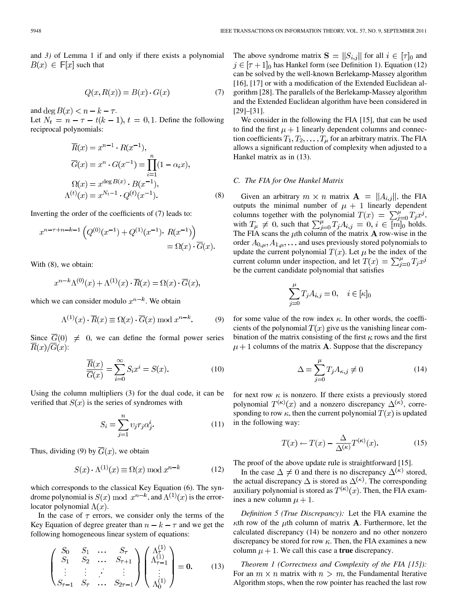$$
Q(x, R(x)) = B(x) \cdot G(x) \tag{7}
$$

and deg  $B(x) < n - k - \tau$ .

Let  $N_t = n - \tau - t(k - 1), t = 0, 1$ . Define the following reciprocal polynomials:

$$
\overline{R}(x) = x^{n-1} \cdot R(x^{-1}),
$$
\n
$$
\overline{G}(x) = x^n \cdot G(x^{-1}) = \prod_{i=1}^n (1 - \alpha_i x),
$$
\n
$$
\Omega(x) = x^{\deg B(x)} \cdot B(x^{-1}),
$$
\n
$$
\Lambda^{(t)}(x) = x^{N_t - 1} \cdot Q^{(t)}(x^{-1}).
$$
\n(8)

Inverting the order of the coefficients of (7) leads to:

$$
x^{n-\tau+n-k-1} \left( Q^{(0)}(x^{-1}) + Q^{(1)}(x^{-1}) \cdot R(x^{-1}) \right) = \Omega(x) \cdot \overline{G}(x).
$$

With (8), we obtain:

$$
x^{n-k}\Lambda^{(0)}(x) + \Lambda^{(1)}(x) \cdot \overline{R}(x) = \Omega(x) \cdot \overline{G}(x),
$$

which we can consider modulo  $x^{n-k}$ . We obtain

$$
\Lambda^{(1)}(x) \cdot \overline{R}(x) \equiv \Omega(x) \cdot \overline{G}(x) \bmod x^{n-k}.
$$
 (9)

Since  $G(0) \neq 0$ , we can define the formal power series  $\overline{R}(x)/\overline{G}(x)$ :

$$
\frac{\overline{R}(x)}{\overline{G}(x)} = \sum_{i=0}^{\infty} S_i x^i = S(x). \tag{10}
$$

Using the column multipliers (3) for the dual code, it can be verified that  $S(x)$  is the series of syndromes with

$$
S_i = \sum_{j=1}^{n} v_j r_j \alpha_j^i.
$$
 (11)

Thus, dividing (9) by  $\overline{G}(x)$ , we obtain

$$
S(x) \cdot \Lambda^{(1)}(x) \equiv \Omega(x) \bmod x^{n-k}
$$
 (12)

which corresponds to the classical Key Equation (6). The syndrome polynomial is  $S(x) \bmod x^{n-k}$ , and  $\Lambda^{(1)}(x)$  is the errorlocator polynomial  $\Lambda(x)$ .

In the case of  $\tau$  errors, we consider only the terms of the Key Equation of degree greater than  $n - k - \tau$  and we get the following homogeneous linear system of equations:

$$
\begin{pmatrix}\nS_0 & S_1 & \dots & S_{\tau} \\
S_1 & S_2 & \dots & S_{\tau+1} \\
\vdots & \vdots & \ddots & \vdots \\
S_{\tau-1} & S_{\tau} & \dots & S_{2\tau-1}\n\end{pmatrix}\n\begin{pmatrix}\n\Lambda_{\tau}^{(1)} \\
\Lambda_{\tau-1}^{(1)} \\
\vdots \\
\Lambda_{0}^{(1)}\n\end{pmatrix} = \mathbf{0}.
$$
\n(13)

The above syndrome matrix  $S = ||S_{i,j}||$  for all  $i \in [\tau]_0$  and  $i \in [\tau + 1]_0$  has Hankel form (see Definition 1). Equation (12) can be solved by the well-known Berlekamp-Massey algorithm [16], [17] or with a modification of the Extended Euclidean algorithm [28]. The parallels of the Berlekamp-Massey algorithm and the Extended Euclidean algorithm have been considered in [29]–[31].

We consider in the following the FIA [15], that can be used to find the first  $\mu + 1$  linearly dependent columns and connection coefficients  $T_1, T_2, \ldots, T_\mu$  for an arbitrary matrix. The FIA allows a significant reduction of complexity when adjusted to a Hankel matrix as in (13).

#### *C. The FIA for One Hankel Matrix*

Given an arbitrary  $m \times n$  matrix  $\mathbf{A} = ||A_{i,j}||$ , the FIA outputs the minimal number of  $\mu + 1$  linearly dependent columns together with the polynomial  $T(x) = \sum_{i=0}^{\mu} T_i x^i$ , with  $T_{\mu} \neq 0$ , such that  $\sum_{i=0}^{\mu} T_i A_{i,j} = 0, i \in [m]_0$  holds. The FIA scans the  $\mu$ th column of the matrix **A** row-wise in the order  $A_{0,\mu}, A_{1,\mu}, \ldots$  and uses previously stored polynomials to update the current polynomial  $T(x)$ . Let  $\mu$  be the index of the current column under inspection, and let  $T(x) = \sum_{i=0}^{\mu} T_i x^i$ be the current candidate polynomial that satisfies

$$
\sum_{j=0}^{\mu} T_j A_{i,j} = 0, \quad i \in [\kappa]_0
$$

for some value of the row index  $\kappa$ . In other words, the coefficients of the polynomial  $T(x)$  give us the vanishing linear combination of the matrix consisting of the first  $\kappa$  rows and the first  $\mu + 1$  columns of the matrix **A**. Suppose that the discrepancy

$$
\Delta = \sum_{j=0}^{\mu} T_j A_{\kappa,j} \neq 0 \tag{14}
$$

for next row  $\kappa$  is nonzero. If there exists a previously stored polynomial  $T^{(\kappa)}(x)$  and a nonzero discrepancy  $\Delta^{(\kappa)}$ , corresponding to row  $\kappa$ , then the current polynomial  $T(x)$  is updated in the following way:

$$
T(x) \leftarrow T(x) - \frac{\Delta}{\Delta^{(\kappa)}} T^{(\kappa)}(x). \tag{15}
$$

The proof of the above update rule is straightforward [15].

In the case  $\Delta \neq 0$  and there is no discrepancy  $\Delta^{(\kappa)}$  stored, the actual discrepancy  $\Delta$  is stored as  $\Delta^{(\kappa)}$ . The corresponding auxiliary polynomial is stored as  $T^{(\kappa)}(x)$ . Then, the FIA examines a new column  $\mu + 1$ .

*Definition 5 (True Discrepancy):* Let the FIA examine the  $\kappa$ th row of the  $\mu$ th column of matrix **A**. Furthermore, let the calculated discrepancy (14) be nonzero and no other nonzero discrepancy be stored for row  $\kappa$ . Then, the FIA examines a new column  $\mu + 1$ . We call this case a **true** discrepancy.

*Theorem 1 (Correctness and Complexity of the FIA [15]):* For an  $m \times n$  matrix with  $n > m$ , the Fundamental Iterative Algorithm stops, when the row pointer has reached the last row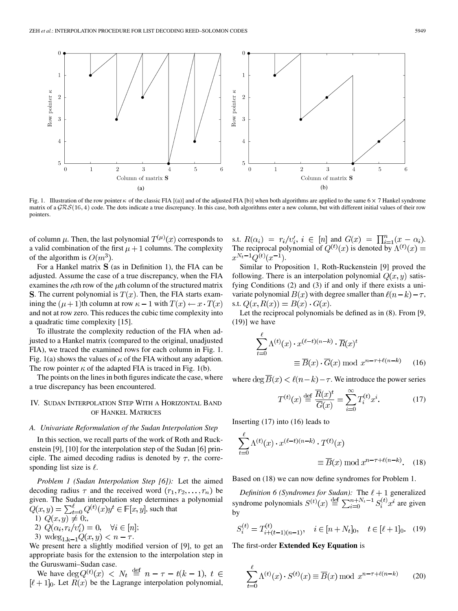

Fig. 1. Illustration of the row pointer  $\kappa$  of the classic FIA [(a)] and of the adjusted FIA [b)] when both algorithms are applied to the same  $6 \times 7$  Hankel syndrome matrix of a  $\mathcal{GRS}(16, 4)$  code. The dots indicate a true discrepancy. In this case, both algorithms enter a new column, but with different initial values of their row pointers.

of column  $\mu$ . Then, the last polynomial  $T^{(\mu)}(x)$  corresponds to a valid combination of the first  $\mu + 1$  columns. The complexity of the algorithm is  $O(m^3)$ .

For a Hankel matrix  $S$  (as in Definition 1), the FIA can be adjusted. Assume the case of a true discrepancy, when the FIA examines the  $\kappa$ th row of the  $\mu$ th column of the structured matrix **S**. The current polynomial is  $T(x)$ . Then, the FIA starts examining the  $(\mu + 1)$ th column at row  $\kappa - 1$  with  $T(x) \leftarrow x \cdot T(x)$ and not at row zero. This reduces the cubic time complexity into a quadratic time complexity [15].

To illustrate the complexity reduction of the FIA when adjusted to a Hankel matrix (compared to the original, unadjusted FIA), we traced the examined rows for each column in Fig. 1. Fig. 1(a) shows the values of  $\kappa$  of the FIA without any adaption. The row pointer  $\kappa$  of the adapted FIA is traced in Fig. 1(b).

The points on the lines in both figures indicate the case, where a true discrepancy has been encountered.

## IV. SUDAN INTERPOLATION STEP WITH A HORIZONTAL BAND OF HANKEL MATRICES

### *A. Univariate Reformulation of the Sudan Interpolation Step*

In this section, we recall parts of the work of Roth and Ruckenstein [9], [10] for the interpolation step of the Sudan [6] principle. The aimed decoding radius is denoted by  $\tau$ , the corresponding list size is  $\ell$ .

*Problem 1 (Sudan Interpolation Step [6]):* Let the aimed decoding radius  $\tau$  and the received word  $(r_1, r_2, \ldots, r_n)$  be given. The Sudan interpolation step determines a polynomial  $Q(x, y) = \sum_{t=0}^{\ell} Q^{(t)}(x) y^t \in \mathbb{F}[x, y]$ , such that

1) 
$$
Q(x, y) \neq 0
$$
,

- 2)  $Q(\alpha_i, r_i/v'_i) = 0, \quad \forall i \in [n];$
- 3)  $\text{wdeg}_{1,k-1}Q(x,y) < n \tau$ .

We present here a slightly modified version of [9], to get an appropriate basis for the extension to the interpolation step in the Guruswami–Sudan case.

We have  $\deg Q^{(t)}(x)$  <  $N_t \stackrel{\text{def}}{=} n - \tau - t(k - 1), t \in$  $[\ell + 1]_0$ . Let  $R(x)$  be the Lagrange interpolation polynomial,

s.t.  $R(\alpha_i) = r_i/v'_i, i \in [n]$  and  $G(x) = \prod_{i=1}^n (x - \alpha_i)$ . The reciprocal polynomial of  $Q^{(t)}(x)$  is denoted by .

Similar to Proposition 1, Roth-Ruckenstein [9] proved the following. There is an interpolation polynomial  $Q(x, y)$  satisfying Conditions (2) and (3) if and only if there exists a univariate polynomial  $B(x)$  with degree smaller than  $\ell(n-k) - \tau$ , s.t.  $Q(x, R(x)) = B(x) \cdot G(x)$ .

Let the reciprocal polynomials be defined as in (8). From [9,  $(19)$ ] we have

$$
\sum_{t=0}^{\ell} \Lambda^{(t)}(x) \cdot x^{(\ell-t)(n-k)} \cdot \overline{R}(x)^{t}
$$

$$
\equiv \overline{B}(x) \cdot \overline{G}(x) \bmod x^{n-\tau+\ell(n-k)} \qquad (16)
$$

where  $\deg \overline{B}(x) < \ell(n-k) - \tau$ . We introduce the power series

$$
T^{(t)}(x) \stackrel{\text{def}}{=} \frac{\overline{R}(x)^t}{\overline{G}(x)} = \sum_{i=0}^{\infty} T_i^{(t)} x^i.
$$
 (17)

Inserting (17) into (16) leads to

$$
\sum_{t=0}^{\ell} \Lambda^{(t)}(x) \cdot x^{(\ell-t)(n-k)} \cdot T^{(t)}(x)
$$

$$
\equiv \overline{B}(x) \bmod x^{n-\tau+\ell(n-k)}.
$$
 (18)

Based on (18) we can now define syndromes for Problem 1.

*Definition 6 (Syndromes for Sudan):* The  $\ell + 1$  generalized syndrome polynomials  $S^{(t)}(x) \stackrel{\text{def}}{=} \sum_{i=0}^{n+r} S_i^{(t)} x^i$  are given by

$$
S_i^{(t)} = T_{i+(t-1)(n-1)}^{(t)}, \quad i \in [n+N_t]_0, \quad t \in [\ell+1]_0. \tag{19}
$$

The first-order **Extended Key Equation** is

$$
\sum_{t=0}^{\ell} \Lambda^{(t)}(x) \cdot S^{(t)}(x) \equiv \overline{B}(x) \bmod x^{n-\tau+\ell(n-k)} \qquad (20)
$$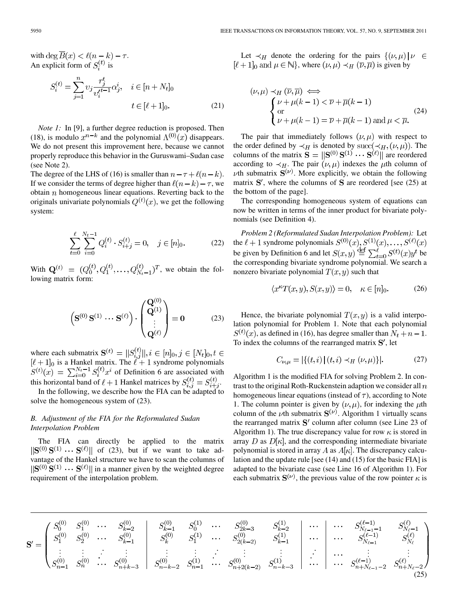with  $\deg \overline{B}(x) < \ell(n-k) - \tau$ . An explicit form of  $S_i^{(t)}$  is

$$
S_i^{(t)} = \sum_{j=1}^n \upsilon_j \frac{r_j^t}{\upsilon_i'^{t-1}} \alpha_j^i, \quad i \in [n+N_t]_0
$$
  

$$
t \in [\ell+1]_0.
$$
 (21)

*Note 1:* In [9], a further degree reduction is proposed. Then (18), is modulo  $x^{n-k}$  and the polynomial  $\Lambda^{(0)}(x)$  disappears. We do not present this improvement here, because we cannot properly reproduce this behavior in the Guruswami–Sudan case (see Note 2).

The degree of the LHS of (16) is smaller than  $n - \tau + \ell(n - k)$ . If we consider the terms of degree higher than  $\ell(n-k) - \tau$ , we obtain  $n$  homogeneous linear equations. Reverting back to the originals univariate polynomials  $Q^{(t)}(x)$ , we get the following system:

$$
\sum_{t=0}^{\ell} \sum_{i=0}^{N_t - 1} Q_i^{(t)} \cdot S_{i+j}^{(t)} = 0, \quad j \in [n]_0.
$$
 (22)

With  $\mathbf{Q}^{(t)} = (Q_0^{(t)}, Q_1^{(t)}, \dots, Q_{N_t-1}^{(t)})^T$ , we obtain the following matrix form:

$$
\left(\mathbf{S}^{(0)}\,\mathbf{S}^{(1)}\,\cdots\,\mathbf{S}^{(\ell)}\right)\cdot\begin{pmatrix}\mathbf{Q}^{(0)}\\ \mathbf{Q}^{(1)}\\ \vdots\\ \mathbf{Q}^{(\ell)}\end{pmatrix} = \mathbf{0} \tag{23}
$$

where each submatrix is a Hankel matrix. The  $\ell + 1$  syndrome polynomials of Definition 6 are associated with this horizontal band of  $\ell+1$  Hankel matrices by  $S_{i,j}^{(\ell)} = S_{i+j}^{(\ell)}$ .

In the following, we describe how the FIA can be adapted to solve the homogeneous system of (23).

## *B. Adjustment of the FIA for the Reformulated Sudan Interpolation Problem*

The FIA can directly be applied to the matrix  $\|\mathbf{S}^{(0)}\mathbf{S}^{(1)}\cdots\mathbf{S}^{(\ell)}\|$  of (23), but if we want to take advantage of the Hankel structure we have to scan the columns of  $\|\mathbf{S}^{(0)}\mathbf{S}^{(1)}\cdots\mathbf{S}^{(\ell)}\|$  in a manner given by the weighted degree requirement of the interpolation problem.

Let  $\prec_H$  denote the ordering for the pairs  $\{(\nu,\mu) | \nu \in$  $[\ell + 1]_0$  and  $\mu \in \mathbb{N}$ , where  $(\nu, \mu) \prec_H (\overline{\nu}, \overline{\mu})$  is given by

$$
(\nu, \mu) \prec_H (\overline{\nu}, \overline{\mu}) \iff
$$
  
\n
$$
\begin{cases}\n\nu + \mu(k - 1) < \overline{\nu} + \overline{\mu}(k - 1) \\
\text{or} \\
\nu + \mu(k - 1) = \overline{\nu} + \overline{\mu}(k - 1) \text{ and } \mu < \overline{\mu}.\n\end{cases}
$$
\n(24)

The pair that immediately follows  $(\nu, \mu)$  with respect to the order defined by  $\prec_H$  is denoted by succ( $\prec_H, (\nu, \mu)$ ). The columns of the matrix  $\mathbf{S} = ||\mathbf{S}^{(0)}\mathbf{S}^{(1)}\cdots\mathbf{S}^{(\ell)}||$  are reordered according to  $\prec_H$ . The pair  $(\nu, \mu)$  indexes the  $\mu$ th column of  $\nu$ th submatrix  $S^{(\nu)}$ . More explicitly, we obtain the following matrix  $S'$ , where the columns of  $S$  are reordered [see (25) at the bottom of the page].

The corresponding homogeneous system of equations can now be written in terms of the inner product for bivariate polynomials (see Definition 4).

*Problem 2 (Reformulated Sudan Interpolation Problem):* Let the  $\ell + 1$  syndrome polynomials  $S^{(0)}(x), S^{(1)}(x), \ldots, S^{(\ell)}(x)$ be given by Definition 6 and let  $S(x, y) \stackrel{\text{def}}{=} \sum_{t=0}^{\ell} S^{(t)}(x) y^t$  be the corresponding bivariate syndrome polynomial. We search a nonzero bivariate polynomial  $T(x, y)$  such that

$$
\langle x^{\kappa} T(x, y), S(x, y) \rangle = 0, \quad \kappa \in [n]_0.
$$
 (26)

Hence, the bivariate polynomial  $T(x, y)$  is a valid interpolation polynomial for Problem 1. Note that each polynomial  $S^{(t)}(x)$ , as defined in (16), has degree smaller than  $N_t + n - 1$ . To index the columns of the rearranged matrix  $S'$ , let

$$
C_{\nu,\mu} = |\{(t,i) | (t,i) \prec_H (\nu,\mu)\}|. \tag{27}
$$

Algorithm 1 is the modified FIA for solving Problem 2. In contrast to the original Roth-Ruckenstein adaption we consider all  $n$ homogeneous linear equations (instead of  $\tau$ ), according to Note 1. The column pointer is given by  $(\nu, \mu)$ , for indexing the  $\mu$ th column of the  $\nu$ th submatrix  $S^{(\nu)}$ . Algorithm 1 virtually scans the rearranged matrix  $S'$  column after column (see Line 23 of Algorithm 1). The true discrepancy value for row  $\kappa$  is stored in array  $D$  as  $D[\kappa]$ , and the corresponding intermediate bivariate polynomial is stored in array A as  $A[\kappa]$ . The discrepancy calculation and the update rule [see (14) and (15) for the basic FIA] is adapted to the bivariate case (see Line 16 of Algorithm 1). For each submatrix  $S^{(\nu)}$ , the previous value of the row pointer  $\kappa$  is

$$
\mathbf{S}' = \begin{pmatrix} S_0^{(0)} & S_1^{(0)} & \cdots & S_{k-2}^{(0)} \\ S_1^{(0)} & S_2^{(0)} & \cdots & S_{k-1}^{(0)} \\ \vdots & \vdots & \ddots & \vdots \\ S_{n-1}^{(0)} & S_n^{(0)} & \cdots & S_{n+k-3}^{(0)} \\ \end{pmatrix} \begin{array}{c} S_{k-1}^{(0)} & S_0^{(1)} & \cdots & S_{2k-3}^{(0)} & S_{k-2}^{(1)} \\ S_k^{(0)} & S_1^{(1)} & \cdots & S_{2(k-2)}^{(0)} & S_{k-1}^{(1)} \\ \vdots & \vdots & \vdots & \vdots \\ S_{n-k-2}^{(0)} & S_{n-1}^{(1)} & \cdots & S_{n+2(k-2)}^{(0)} & S_{n-k-3}^{(1)} \\ \end{array} \begin{array}{c} \cdots & \cdots & S_{N_{\ell-1}-1}^{(\ell-1)} & S_{N_{\ell-1}}^{(\ell)} \\ \cdots & \cdots & S_{N_{\ell-1}}^{(\ell-1)} & S_{N_{\ell}}^{(\ell)} \\ \cdots & \cdots & \cdots & \vdots \\ \cdots & \cdots & \cdots & \cdots \\ \cdots & \cdots & \cdots & \cdots \\ \cdots & \cdots & \cdots & \cdots \\ \cdots & \cdots & \cdots & \cdots \\ \cdots & \cdots & \cdots & \cdots \\ \cdots & \cdots & \cdots & \cdots \\ \cdots & \cdots & \cdots & \cdots \\ \cdots & \cdots & \cdots & \cdots \\ \cdots & \cdots & \cdots & \cdots \\ \cdots & \cdots & \cdots & \cdots \\ \cdots & \cdots & \cdots & \cdots \\ \cdots & \cdots & \cdots & \cdots \\ \cdots & \cdots & \cdots & \cdots \\ \cdots & \cdots & \cdots & \cdots \\ \cdots & \cdots & \cdots & \cdots \\ \cdots & \cdots & \cdots & \cdots \\ \cdots & \cdots & \cdots & \cdots \\ \cdots & \cdots & \cdots & \cdots \\ \cdots & \cdots & \cdots & \cdots \\ \cdots & \cdots & \cdots & \cdots \\ \cdots & \cdots & \cdots & \cdots \\ \cdots & \cdots & \cdots & \cdots \\ \cdots & \cdots & \
$$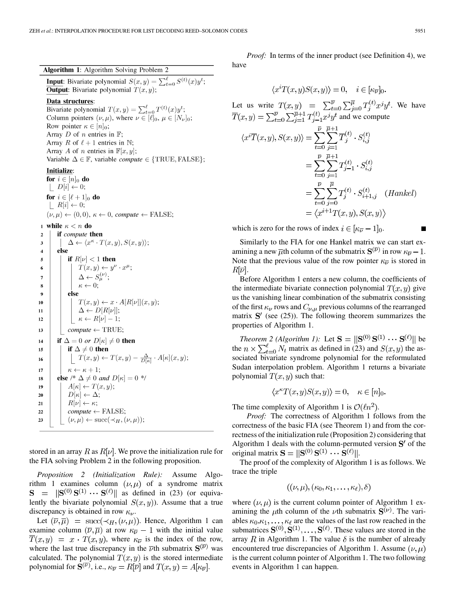**Algorithm 1:** Algorithm Solving Problem 2 **Input:** Bivariate polynomial  $S(x, y) = \sum_{t=0}^{\ell} S^{(t)}(x) y^t$ ; **Output:** Bivariate polynomial  $T(x, y)$ ; Data structures: Bivariate polynomial  $T(x, y) = \sum_{t=0}^{\ell} T^{(t)}(x) y^t$ ;<br>Column pointers  $(\nu, \mu)$ , where  $\nu \in [\ell]_0$ ,  $\mu \in [N_{\nu}]_0$ ; Row pointer  $\kappa \in [n]_0$ ; Array D of n entries in  $\mathbb{F}$ ; Array R of  $\ell + 1$  entries in N; Array A of n entries in  $\mathbb{F}[x, y]$ ; Variable  $\Delta \in \mathbb{F}$ , variable *compute*  $\in \{TRUE, FALSE\};$ **Initialize:** for  $i \in [n]_0$  do  $|D[i] \leftarrow 0;$ for  $i \in [\ell+1]_0$  do  $|R[i] \leftarrow 0;$  $(\nu, \mu) \leftarrow (0, 0), \kappa \leftarrow 0$ , compute  $\leftarrow$  FALSE; 1 while  $\kappa < n$  do if compute then  $\overline{2}$  $\overline{\mathbf{3}}$  $\Delta \leftarrow \langle x^{\kappa} \cdot T(x, y), S(x, y) \rangle;$  $\overline{4}$ else if  $R[\nu] < 1$  then  $\overline{5}$  $T(x,y) \leftarrow y^{\nu} \cdot x^{\mu};$ 6  $\Delta \leftarrow S_{\mu}^{(\nu)}$ ;  $\overline{7}$  $\kappa \leftarrow 0;$ 8 else -9  $T(x, y) \leftarrow x \cdot A[R[\nu]](x, y);$ 10  $\Delta \leftarrow D[R[\nu]]$ ;  $11$  $\kappa \leftarrow R[\nu] - 1;$  $12$  $compute \leftarrow \text{TRUE};$  $13$ if  $\Delta = 0$  or  $D[\kappa] \neq 0$  then 14 if  $\Delta \neq 0$  then 15  $\Gamma(T(x,y) \leftarrow T(x,y) - \frac{\Delta}{D[\kappa]} \cdot A[\kappa](x,y);$ 16  $\kappa \leftarrow \kappa + 1;$  $17$ else /\*  $\Delta \neq 0$  and  $D[\kappa] = 0$  \*/ 18  $A[\kappa] \leftarrow T(x, y);$ 19  $D[\kappa] \leftarrow \Delta;$  $\overline{20}$  $R[\nu] \leftarrow \kappa;$  $21$  $compute \leftarrow FALSE;$  $\overline{22}$  $(\nu, \mu) \leftarrow \text{succ}(\prec_H, (\nu, \mu));$  $23$ 

stored in an array R as  $R[\nu]$ . We prove the initialization rule for the FIA solving Problem 2 in the following proposition.

*Proposition 2 (Initialization Rule):* Assume Algorithm 1 examines column  $(\nu, \mu)$  of a syndrome matrix  $S = ||S^{(0)}S^{(1)} \cdots S^{(\ell)}||$  as defined in (23) (or equivalently the bivariate polynomial  $S(x, y)$ . Assume that a true discrepancy is obtained in row  $\kappa_{\nu}$ .

Let  $(\overline{\nu}, \overline{\mu})$  = succ( $\prec_H, (\nu, \mu)$ ). Hence, Algorithm 1 can examine column  $(\overline{\nu}, \overline{\mu})$  at row  $\kappa_{\overline{\nu}} - 1$  with the initial value  $\overline{T}(x, y) = x \cdot T(x, y)$ , where  $\kappa_{\overline{\nu}}$  is the index of the row, where the last true discrepancy in the  $\overline{\nu}$ th submatrix  $S^{(\overline{\nu})}$  was calculated. The polynomial  $T(x, y)$  is the stored intermediate polynomial for  $S^{(\overline{\nu})}$ , i.e.,  $\kappa_{\overline{\nu}} = R[\overline{\nu}]$  and  $T(x, y) = A[\kappa_{\overline{\nu}}]$ .

*Proof:* In terms of the inner product (see Definition 4), we have

$$
\langle x^{i}T(x,y)S(x,y)\rangle = 0, \quad i \in [\kappa_{\overline{\nu}}]_{0}.
$$
  
Let us write  $T(x,y) = \sum_{t=0}^{\overline{\nu}} \sum_{j=0}^{\overline{\mu}} T_{j}^{(t)} x^{j} y^{t}$ . We have  

$$
\overline{T}(x,y) = \sum_{t=0}^{\overline{\nu}} \sum_{j=1}^{\overline{\mu}+1} T_{j-1}^{(t)} x^{j} y^{t}
$$
 and we compute  

$$
\langle x^{i}\overline{T}(x,y), S(x,y)\rangle = \sum_{t=0}^{\overline{\nu}} \sum_{j=1}^{\overline{\mu}+1} \overline{T}_{j}^{(t)} \cdot S_{i,j}^{(t)}
$$

$$
= \sum_{t=0}^{\overline{\nu}} \sum_{j=1}^{\overline{\mu}+1} T_{j-1}^{(t)} \cdot S_{i,j}^{(t)}
$$

$$
= \sum_{t=0}^{\overline{\nu}} \sum_{j=0}^{\overline{\mu}} T_{j}^{(t)} \cdot S_{i+1,j}^{(t)} \quad (Hankel)
$$

$$
= \langle x^{i+1}T(x,y), S(x,y) \rangle
$$

which is zero for the rows of index  $i \in [\kappa_{\overline{\nu}} - 1]_0$ .

Similarly to the FIA for one Hankel matrix we can start examining a new  $\overline{\mu}$ th column of the submatrix  $S^{(\overline{\nu})}$  in row  $\kappa_{\overline{\nu}} - 1$ . Note that the previous value of the row pointer  $\kappa_{\overline{\nu}}$  is stored in  $R[\overline{\nu}]$ .

Before Algorithm 1 enters a new column, the coefficients of the intermediate bivariate connection polynomial  $T(x, y)$  give us the vanishing linear combination of the submatrix consisting of the first  $\kappa_{\nu}$  rows and  $C_{\nu,\mu}$  previous columns of the rearranged matrix  $S'$  (see (25)). The following theorem summarizes the properties of Algorithm 1.

*Theorem 2 (Algorithm 1):* Let  $S = ||S^{(0)}S^{(1)} \cdots S^{(\ell)}||$  be the  $n \times \sum_{t=0}^{\ell} N_t$  matrix as defined in (23) and  $S(x, y)$  the associated bivariate syndrome polynomial for the reformulated Sudan interpolation problem. Algorithm 1 returns a bivariate polynomial  $T(x, y)$  such that:

$$
\langle x^{\kappa} T(x, y) S(x, y) \rangle = 0, \quad \kappa \in [n]_0.
$$

The time complexity of Algorithm 1 is  $\mathcal{O}(\ln^2)$ .

*Proof:* The correctness of Algorithm 1 follows from the correctness of the basic FIA (see Theorem 1) and from the correctness of the initialization rule (Proposition 2) considering that Algorithm 1 deals with the column-permuted version  $S'$  of the original matrix  $S = ||S^{(0)}S^{(1)} \cdots S^{(\ell)}||$ .

The proof of the complexity of Algorithm 1 is as follows. We trace the triple

$$
((\nu,\mu),(\kappa_0,\kappa_1,\ldots,\kappa_\ell),\delta)
$$

where  $(\nu, \mu)$  is the current column pointer of Algorithm 1 examining the  $\mu$ th column of the  $\nu$ th submatrix  $S^{(\nu)}$ . The variables  $\kappa_0, \kappa_1, \ldots, \kappa_\ell$  are the values of the last row reached in the submatrices  $S^{(0)}$ ,  $S^{(1)}$ , ...,  $S^{(\ell)}$ . These values are stored in the array R in Algorithm 1. The value  $\delta$  is the number of already encountered true discrepancies of Algorithm 1. Assume  $(\nu, \mu)$ is the current column pointer of Algorithm 1. The two following events in Algorithm 1 can happen.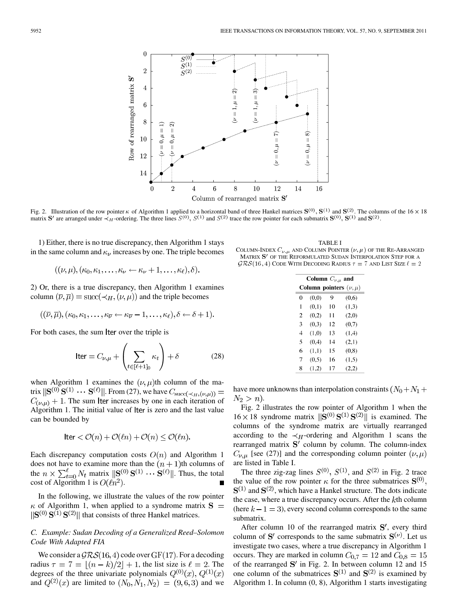

Fig. 2. Illustration of the row pointer  $\kappa$  of Algorithm 1 applied to a horizontal band of three Hankel matrices  $S^{(0)}$ ,  $S^{(1)}$  and  $S^{(2)}$ . The columns of the 16  $\times$  18 matrix S' are arranged under  $\prec_H$ -ordering. The three lines  $S^{(0)}$ ,  $S^{(1)}$  and  $S^{(2)}$  trace the row pointer for each submatrix  $S^{(0)}$ ,  $S^{(1)}$  and  $S^{(2)}$ .

1) Either, there is no true discrepancy, then Algorithm 1 stays in the same column and  $\kappa_{\nu}$  increases by one. The triple becomes

$$
((\nu,\mu),(\kappa_0,\kappa_1,\ldots,\kappa_\nu\leftarrow \kappa_\nu+1,\ldots,\kappa_\ell),\delta).
$$

2) Or, there is a true discrepancy, then Algorithm 1 examines column  $(\overline{\nu}, \overline{\mu}) = \text{succ}(\prec_H, (\nu, \mu))$  and the triple becomes

$$
((\overline{\nu},\overline{\mu}),(\kappa_0,\kappa_1,\ldots,\kappa_{\overline{\nu}}\leftarrow \kappa_{\overline{\nu}}-1,\ldots,\kappa_{\ell}),\delta\leftarrow \delta+1).
$$

For both cases, the sum Iter over the triple is

$$
\text{Iter} = C_{\nu,\mu} + \left(\sum_{t \in [\ell+1]_0} \kappa_t\right) + \delta \tag{28}
$$

when Algorithm 1 examines the  $(\nu, \mu)$ th column of the matrix  $\|\mathbf{S}^{(0)}\mathbf{S}^{(1)}\cdots\mathbf{S}^{(\ell)}\|$ . From (27), we have  $C_{\text{succ}(\prec_H,(\nu,\mu))}$  =  $C_{(\nu,\mu)}$  + 1. The sum lter increases by one in each iteration of Algorithm 1. The initial value of lter is zero and the last value can be bounded by

$$
\text{Iter} < \mathcal{O}(n) + \mathcal{O}(\ell n) + \mathcal{O}(n) \le \mathcal{O}(\ell n).
$$

Each discrepancy computation costs  $O(n)$  and Algorithm 1 does not have to examine more than the  $(n + 1)$ th columns of the  $n \times \sum_{t=0}^{l} N_t$  matrix  $\|\mathbf{S}^{(0)}\mathbf{S}^{(1)}\cdots\mathbf{S}^{(l)}\|$ . Thus, the total cost of Algorithm 1 is  $O(\ln^2)$ .

In the following, we illustrate the values of the row pointer  $\kappa$  of Algorithm 1, when applied to a syndrome matrix  $S =$  $\|\mathbf{S}^{(0)}\mathbf{S}^{(1)}\mathbf{S}^{(2)}\|$  that consists of three Hankel matrices.

## *C. Example: Sudan Decoding of a Generalized Reed–Solomon Code With Adapted FIA*

We consider a  $\mathcal{GRS}(16, 4)$  code over GF(17). For a decoding radius  $\tau = 7 = |(n-k)/2| + 1$ , the list size is  $\ell = 2$ . The degrees of the three univariate polynomials  $Q^{(0)}(x)$ ,  $Q^{(1)}(x)$ and  $Q^{(2)}(x)$  are limited to  $(N_0, N_1, N_2) = (9, 6, 3)$  and we

TABLE I COLUMN-INDEX  $C_{\nu,\mu}$  and Column Pointer  $(\nu,\mu)$  of the Re-Arranged MATRIX OF THE REFORMULATED SUDAN INTERPOLATION STEP FOR A  $\mathcal{GRS}(16, 4)$  Code With Decoding Radius  $\tau = 7$  and List Size  $\ell = 2$ 

|                          | Column $C_{\nu,\mu}$ and     |    |       |  |  |  |  |  |  |
|--------------------------|------------------------------|----|-------|--|--|--|--|--|--|
|                          | Column pointers $(\nu, \mu)$ |    |       |  |  |  |  |  |  |
| $\Omega$                 | (0,0)                        | 9  | (0,6) |  |  |  |  |  |  |
| 1                        | (0,1)                        | 10 | (1,3) |  |  |  |  |  |  |
| 2                        | (0.2)                        | 11 | (2,0) |  |  |  |  |  |  |
| 3                        | (0,3)                        | 12 | (0,7) |  |  |  |  |  |  |
| $\overline{4}$           | (1,0)                        | 13 | (1,4) |  |  |  |  |  |  |
| $\overline{\phantom{0}}$ | (0,4)                        | 14 | (2,1) |  |  |  |  |  |  |
| 6                        | (1,1)                        | 15 | (0,8) |  |  |  |  |  |  |
| 7                        | (0.5)                        | 16 | (1,5) |  |  |  |  |  |  |
| 8                        | (1,2)                        | 17 | (2,2) |  |  |  |  |  |  |

have more unknowns than interpolation constraints  $(N_0 + N_1 +$  $N_2 > n$ ).

Fig. 2 illustrates the row pointer of Algorithm 1 when the  $16 \times 18$  syndrome matrix  $\|\mathbf{S}^{(0)}\mathbf{S}^{(1)}\mathbf{S}^{(2)}\|$  is examined. The columns of the syndrome matrix are virtually rearranged according to the  $\prec_H$ -ordering and Algorithm 1 scans the rearranged matrix  $S'$  column by column. The column-index  $C_{\nu,\mu}$  [see (27)] and the corresponding column pointer  $(\nu,\mu)$ are listed in Table I.

The three zig-zag lines  $S^{(0)}$ ,  $S^{(1)}$ , and  $S^{(2)}$  in Fig. 2 trace the value of the row pointer  $\kappa$  for the three submatrices  $S^{(0)}$ ,  $S^{(1)}$  and  $S^{(2)}$ , which have a Hankel structure. The dots indicate the case, where a true discrepancy occurs. After the  $k$ th column (here  $k - 1 = 3$ ), every second column corresponds to the same submatrix.

After column 10 of the rearranged matrix  $S'$ , every third column of S' corresponds to the same submatrix  $S^{(\nu)}$ . Let us investigate two cases, where a true discrepancy in Algorithm 1 occurs. They are marked in column  $C_{0,7} = 12$  and  $C_{0,8} = 15$ of the rearranged  $S'$  in Fig. 2. In between column 12 and 15 one column of the submatrices  $S^{(1)}$  and  $S^{(2)}$  is examined by Algorithm 1. In column (0, 8), Algorithm 1 starts investigating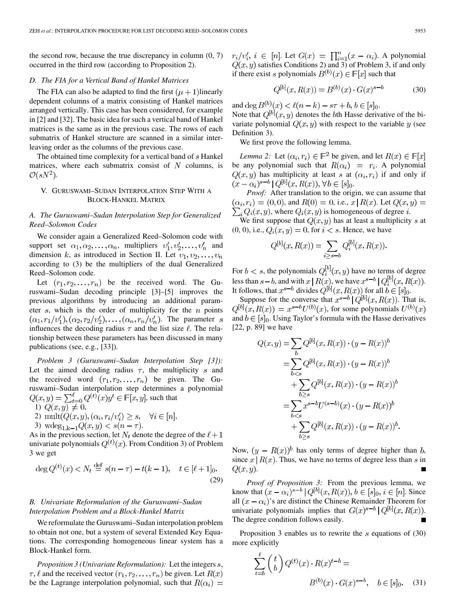the second row, because the true discrepancy in column  $(0, 7)$ occurred in the third row (according to Proposition 2).

#### *D. The FIA for a Vertical Band of Hankel Matrices*

The FIA can also be adapted to find the first  $(\mu + 1)$ linearly dependent columns of a matrix consisting of Hankel matrices arranged vertically. This case has been considered, for example in [2] and [32]. The basic idea for such a vertical band of Hankel matrices is the same as in the previous case. The rows of each submatrix of Hankel structure are scanned in a similar interleaving order as the columns of the previous case.

The obtained time complexity for a vertical band of  $s$  Hankel matrices, where each submatrix consist of  $N$  columns, is  $\mathcal{O}(sN^2)$ .

## V. GURUSWAMI–SUDAN INTERPOLATION STEP WITH A BLOCK-HANKEL MATRIX

## *A. The Guruswami–Sudan Interpolation Step for Generalized Reed–Solomon Codes*

We consider again a Generalized Reed–Solomon code with support set  $\alpha_1, \alpha_2, \ldots, \alpha_n$ , multipliers  $v'_1, v'_2, \ldots, v'_n$  and dimension k, as introduced in Section II. Let  $v_1, v_2, \ldots, v_n$ according to (3) be the multipliers of the dual Generalized Reed–Solomon code.

Let  $(r_1, r_2, \ldots, r_n)$  be the received word. The Guruswami–Sudan decoding principle [3]–[5] improves the previous algorithms by introducing an additional parameter  $s$ , which is the order of multiplicity for the  $n$  points  $(\alpha_1, r_1/v_1'), (\alpha_2, r_2/v_2'), \dots, (\alpha_n, r_n/v_n').$  The parameter s influences the decoding radius  $\tau$  and the list size  $\ell$ . The relationship between these parameters has been discussed in many publications (see, e.g., [33]).

*Problem 3 (Guruswami–Sudan Interpolation Step [3]):* Let the aimed decoding radius  $\tau$ , the multiplicity s and the received word  $(r_1, r_2, \ldots, r_n)$  be given. The Guruswami–Sudan interpolation step determines a polynomial , such that

- 1)  $Q(x, y) \neq 0$ ,
- 2) mult $(Q(x, y), (\alpha_i, r_i/v_i') \geq s, \forall i \in [n],$

3) 
$$
wdeg_{1,k-1}Q(x,y) < s(n-\tau)
$$
.

As in the previous section, let  $N_t$  denote the degree of the  $\ell + 1$ univariate polynomials  $Q^{(t)}(x)$ . From Condition 3) of Problem 3 we get

$$
\deg Q^{(t)}(x) < N_t \stackrel{\text{def}}{=} s(n-\tau) - t(k-1), \quad t \in [\ell+1]_0. \tag{29}
$$

## *B. Univariate Reformulation of the Guruswami–Sudan Interpolation Problem and a Block-Hankel Matrix*

We reformulate the Guruswami–Sudan interpolation problem to obtain not one, but a system of several Extended Key Equations. The corresponding homogeneous linear system has a Block-Hankel form.

*Proposition 3 (Univariate Reformulation):* Let the integers  $s$ ,  $\tau$ ,  $\ell$  and the received vector  $(r_1, r_2, \ldots, r_n)$  be given. Let  $R(x)$ be the Lagrange interpolation polynomial, such that  $R(\alpha_i)$  =  $r_i/v'_i, i \in [n]$ . Let  $G(x) = \prod_{i=1}^n (x - \alpha_i)$ . A polynomial  $Q(x, y)$  satisfies Conditions 2) and 3) of Problem 3, if and only if there exist s polynomials  $B^{(b)}(x) \in \mathbb{F}[x]$  such that

$$
Q^{[b]}(x, R(x)) = B^{(b)}(x) \cdot G(x)^{s-b}
$$
 (30)

and deg  $B^{(b)}(x) < \ell(n-k) - s\tau + b, b \in [s]_0$ . Note that  $Q^{[b]}(x, y)$  denotes the bth Hasse derivative of the bivariate polynomial  $Q(x, y)$  with respect to the variable y (see Definition 3).

We first prove the following lemma.

*Lemma 2:* Let  $(\alpha_i, r_i) \in \mathbb{F}^2$  be given, and let  $R(x) \in \mathbb{F}[x]$ be any polynomial such that  $R(\alpha_i) = r_i$ . A polynomial  $Q(x, y)$  has multiplicity at least s at  $(\alpha_i, r_i)$  if and only if  $(x - \alpha_i)^{s-b} |Q^{[b]}(x, R(x)), \forall b \in [s]_0.$ 

*Proof:* After translation to the origin, we can assume that  $(\alpha_i, r_i) = (0, 0)$ , and  $R(0) = 0$ , i.e.,  $x | R(x)$ . Let  $Q(x, y) =$  $\sum_i Q_i(x, y)$ , where  $Q_i(x, y)$  is homogeneous of degree *i*.

We first suppose that  $Q(x, y)$  has at least a multiplicity s at  $(0, 0)$ , i.e.,  $Q_i(x, y) = 0$ , for  $i < s$ . Hence, we have

$$
Q^{[b]}(x, R(x)) = \sum_{i \ge s - b} Q_i^{[b]}(x, R(x)).
$$

For  $b < s$ , the polynomials  $Q_i^{[b]}(x, y)$  have no terms of degree less than  $s-b$ , and with  $x | R(x)$ , we have  $x^{s-b} | Q_i^{[b]}(x, R(x))$ . It follows, that  $x^{s-b}$  divides  $Q^{[b]}(x, R(x))$  for all  $b \in [s]_0$ .

Suppose for the converse that  $x^{s-b} | Q^{b} (x, R(x))$ . That is,  $Q^{[b]}(x, R(x)) = x^{s-b}U^{(b)}(x)$ , for some polynomials  $U^{(b)}(x)$ and  $b \in [s]_0$ . Using Taylor's formula with the Hasse derivatives [22, p. 89] we have

$$
Q(x,y) = \sum_{b} Q^{[b]}(x, R(x)) \cdot (y - R(x))^b
$$
  
= 
$$
\sum_{b < s} Q^{[b]}(x, R(x)) \cdot (y - R(x))^b
$$
  
+ 
$$
\sum_{b \ge s} Q^{[b]}(x, R(x)) \cdot (y - R(x))^b
$$
  
= 
$$
\sum_{b < s} x^{s-b} U^{(s-b)}(x) \cdot (y - R(x))^b
$$
  
+ 
$$
\sum_{b > s} Q^{[b]}(x, R(x)) \cdot (y - R(x))^b.
$$

Now,  $(y - R(x))^b$  has only terms of degree higher than b, since  $x | R(x)$ . Thus, we have no terms of degree less than s in  $Q(x,y)$ .

*Proof of Proposition 3:* From the previous lemma, we know that  $(x - \alpha_i)^{s-b} | Q^{[b]}(x, R(x)), b \in [s]_0, i \in [n]$ . Since all  $(x - \alpha_i)$ 's are distinct the Chinese Remainder Theorem for univariate polynomials implies that  $G(x)^{s-b} | Q^{[b]}(x, R(x))$ . The degree condition follows easily.

Proposition 3 enables us to rewrite the  $s$  equations of (30) more explicitly

$$
\sum_{t=b}^{\ell} \binom{t}{b} Q^{(t)}(x) \cdot R(x)^{t-b} =
$$
  

$$
B^{(b)}(x) \cdot G(x)^{s-b}, \quad b \in [s]_0.
$$
 (31)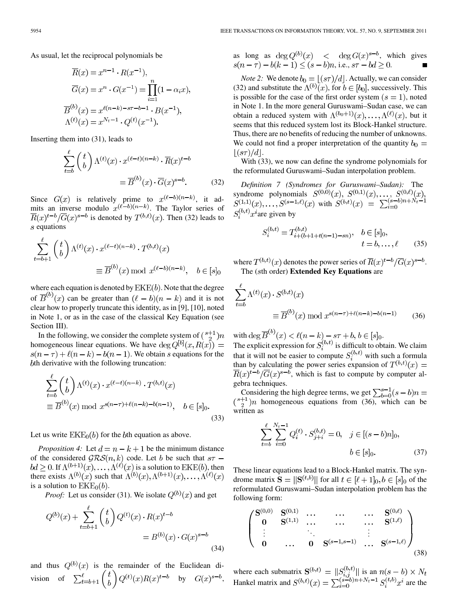As usual, let the reciprocal polynomials be

$$
\overline{R}(x) = x^{n-1} \cdot R(x^{-1}),
$$
  
\n
$$
\overline{G}(x) = x^n \cdot G(x^{-1}) = \prod_{i=1}^n (1 - \alpha_i x),
$$
  
\n
$$
\overline{B}^{(b)}(x) = x^{\ell(n-k) - s\tau - b - 1} \cdot B(x^{-1}),
$$
  
\n
$$
\Lambda^{(t)}(x) = x^{N_t - 1} \cdot Q^{(t)}(x^{-1}).
$$

Inserting them into (31), leads to

$$
\sum_{t=b}^{l} \binom{t}{b} \Lambda^{(t)}(x) \cdot x^{(l-t)(n-k)} \cdot \overline{R}(x)^{t-b}
$$

$$
= \overline{B}^{(b)}(x) \cdot \overline{G}(x)^{s-b}.
$$
(32)

Since  $G(x)$  is relatively prime to  $x^{(\ell-b)(n-k)}$ , it admits an inverse modulo  $x^{(\ell-b)(n-k)}$ . The Taylor series of  $\overline{R}(x)^{t-b}/\overline{G}(x)^{s-b}$  is denoted by  $T^{(b,t)}(x)$ . Then (32) leads to  $s$  equations

$$
\sum_{t=b+1}^{\ell} \binom{t}{b} \Lambda^{(t)}(x) \cdot x^{(\ell-t)(n-k)} \cdot T^{(b,t)}(x)
$$

$$
\equiv \overline{B}^{(b)}(x) \bmod x^{(\ell-b)(n-k)}, \quad b \in [s]_0
$$

where each equation is denoted by  $EKE(b)$ . Note that the degree of  $\overline{B}^{(b)}(x)$  can be greater than  $(\ell - b)(n - k)$  and it is not clear how to properly truncate this identity, as in [9], [10], noted in Note 1, or as in the case of the classical Key Equation (see Section III).

In the following, we consider the complete system of  $\binom{s+1}{2}n$ homogeneous linear equations. We have  $\deg Q^{[b]}(x, R(x)) =$  $s(n-\tau) + \ell(n-k) - b(n-1)$ . We obtain s equations for the bth derivative with the following truncation:

$$
\sum_{t=b}^{\ell} \binom{t}{b} \Lambda^{(t)}(x) \cdot x^{(\ell-t)(n-k)} \cdot T^{(b,t)}(x)
$$

$$
\equiv \overline{B}^{(b)}(x) \bmod x^{s(n-\tau)+\ell(n-k)-b(n-1)}, \quad b \in [s]_0.
$$
(33)

Let us write  $EKE_0(b)$  for the *b*th equation as above.

*Proposition 4:* Let  $d = n - k + 1$  be the minimum distance of the considered  $\mathcal{GRS}(n,k)$  code. Let b be such that  $s\tau$  –  $bd \geq 0$ . If  $\Lambda^{(b+1)}(x), \ldots, \Lambda^{(b)}(x)$  is a solution to  $EKE(b)$ , then there exists  $\Lambda^{(b)}(x)$  such that  $\Lambda^{(b)}(x), \Lambda^{(b+1)}(x), \ldots, \Lambda^{(\ell)}(x)$ is a solution to  $EKE<sub>0</sub>(b)$ .

*Proof:* Let us consider (31). We isolate  $Q^{(b)}(x)$  and get

$$
Q^{(b)}(x) + \sum_{t=b+1}^{l} {t \choose b} Q^{(t)}(x) \cdot R(x)^{t-b}
$$
  
=  $B^{(b)}(x) \cdot G(x)^{s-b}$  (34)

and thus  $Q^{(b)}(x)$  is the remainder of the Euclidean division of  $\sum_{t=b+1}^{\ell} {t \choose b} Q^{(t)}(x)R(x)^{t-b}$  by  $G(x)^{s-b}$ , as long as  $\deg Q^{(b)}(x)$  <  $\deg G(x)^{s-b}$ , which gives  $s(n - \tau) - b(k - 1) \le (s - b)n$ , i.e.,  $s\tau - bd \ge 0$ .

*Note 2:* We denote  $b_0 = \lfloor (s\tau)/d \rfloor$ . Actually, we can consider (32) and substitute the  $\Lambda^{(b)}(x)$ , for  $b \in [b_0]$ , successively. This is possible for the case of the first order system  $(s = 1)$ , noted in Note 1. In the more general Guruswami–Sudan case, we can obtain a reduced system with  $\Lambda^{(b_0+1)}(x), \ldots, \Lambda^{(\ell)}(x)$ , but it seems that this reduced system lost its Block-Hankel structure. Thus, there are no benefits of reducing the number of unknowns. We could not find a proper interpretation of the quantity  $b_0 =$  $|(s\tau)/d|.$ 

With (33), we now can define the syndrome polynomials for the reformulated Guruswami–Sudan interpolation problem.

*Definition 7 (Syndromes for Guruswami–Sudan):* The syndrome polynomials  $S^{(0,0)}(x)$ ,  $S^{(0,1)}(x)$ , ...,  $S^{(0,\ell)}(x)$ ,  $S^{(1,1)}(x), \ldots, S^{(s-1,\ell)}(x)$  with  $S^{(b,t)}(x) = \sum_{i=0}^{(s-b)n + N_t - 1}$  $S_i^{(b,t)}x^i$  are given by

$$
S_i^{(b,t)} = T_{i+(b+1+t(n-1)-sn)}^{(b,t)}, \quad b \in [s]_0, \n t = b, \dots, \ell
$$
\n(35)

where  $T^{(b,t)}(x)$  denotes the power series of  $\overline{R}(x)^{t-b}/\overline{G}(x)^{s-b}$ . The ( th order) **Extended Key Equations** are

$$
\sum_{t=b}^{\ell} \Lambda^{(t)}(x) \cdot S^{(b,t)}(x)
$$

$$
\equiv \overline{B}^{(b)}(x) \bmod x^{s(n-\tau) + \ell(n-k) - b(n-1)} \tag{36}
$$

with  $\deg B^{\circ\prime}(x) < \ell(n-k) - s\tau + b, b \in [s]_0$ . The explicit expression for  $S_i^{(0,t)}$  is difficult to obtain. We claim that it will not be easier to compute  $S_i^{(0,t)}$  with such a formula than by calculating the power series expansion of  $T^{(b,t)}(x) =$  $\overline{R}(x)^{t-b}/\overline{G}(x)^{s-b}$ , which is fast to compute by computer algebra techniques.

Considering the high degree terms, we get homogeneous equations from (36), which can be written as

$$
\sum_{t=b}^{\ell} \sum_{i=0}^{N_t-1} Q_i^{(t)} \cdot S_{j+i}^{(b,t)} = 0, \quad j \in [(s-b)n]_0,
$$
  

$$
b \in [s]_0.
$$
 (37)

These linear equations lead to a Block-Hankel matrix. The syndrome matrix  $\mathbf{S} = ||\mathbf{S}^{(t,b)}||$  for all  $t \in [\ell+1]_0, b \in [s]_0$  of the reformulated Guruswami–Sudan interpolation problem has the following form:

$$
\begin{pmatrix}\nS^{(0,0)} & S^{(0,1)} & \cdots & \cdots & \cdots & S^{(0,\ell)} \\
0 & S^{(1,1)} & \cdots & \cdots & \cdots & S^{(1,\ell)} \\
\vdots & \ddots & \vdots & \vdots & \vdots \\
0 & \cdots & 0 & S^{(s-1,s-1)} & \cdots & S^{(s-1,\ell)}\n\end{pmatrix}
$$
\n(38)

where each submatrix  $S^{(b,t)} = ||S_{i,j}^{(b,t)}||$  is an Hankel matrix and  $S^{(b,t)}(x) = \sum_{i=0}^{8-\nu} a^{n+\nu} t^{-1} S_i^{(b,\nu)} x^i$  are the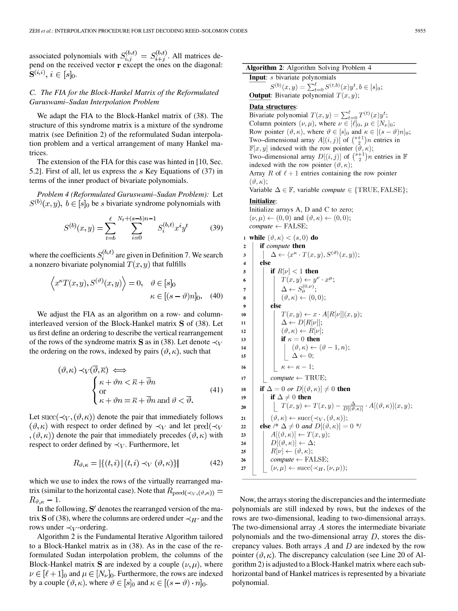associated polynomials with  $S_{i,j}^{(0,t)} = S_{i,j}^{(0,t)}$ . All matrices depend on the received vector  $\mathbf r$  except the ones on the diagonal:  $S^{(i,i)}, i \in [s]_0.$ 

## *C. The FIA for the Block-Hankel Matrix of the Reformulated Guruswami–Sudan Interpolation Problem*

We adapt the FIA to the Block-Hankel matrix of (38). The structure of this syndrome matrix is a mixture of the syndrome matrix (see Definition 2) of the reformulated Sudan interpolation problem and a vertical arrangement of many Hankel matrices.

The extension of the FIA for this case was hinted in [10, Sec. 5.2]. First of all, let us express the  $s$  Key Equations of (37) in terms of the inner product of bivariate polynomials.

*Problem 4 (Reformulated Guruswami–Sudan Problem):* Let  $S^{(b)}(x, y), b \in [s]_0$  be s bivariate syndrome polynomials with

$$
S^{(b)}(x,y) = \sum_{t=b}^{\ell} \sum_{i=0}^{N_t+(s-b)n-1} S_i^{(b,t)} x^i y^t
$$
 (39)

where the coefficients  $S_i^{(b,t)}$  are given in Definition 7. We search a nonzero bivariate polynomial  $T(x, y)$  that fulfills

$$
\left\langle x^{\kappa} T(x, y), S^{(\vartheta)}(x, y) \right\rangle = 0, \quad \vartheta \in [s]_0
$$

$$
\kappa \in [(s - \vartheta)n]_0. \quad (40)
$$

We adjust the FIA as an algorithm on a row- and columninterleaved version of the Block-Hankel matrix  $S$  of (38). Let us first define an ordering to describe the vertical rearrangement of the rows of the syndrome matrix **S** as in (38). Let denote  $\prec_V$ the ordering on the rows, indexed by pairs  $(\vartheta, \kappa)$ , such that

$$
(\vartheta, \kappa) \prec_V (\overline{\vartheta}, \overline{\kappa}) \iff
$$
  
\n
$$
\begin{cases}\n\kappa + \vartheta n < \overline{\kappa} + \overline{\vartheta} n \\
\text{or} \\
\kappa + \vartheta n = \overline{\kappa} + \overline{\vartheta} n \text{ and } \vartheta < \overline{\vartheta}.\n\end{cases}
$$
\n(41)

Let succ( $\prec_V, (\vartheta, \kappa)$ ) denote the pair that immediately follows  $(\vartheta,\kappa)$  with respect to order defined by  $\prec_V$  and let pred $(\prec_V$  $(\theta, \kappa)$  denote the pair that immediately precedes  $(\theta, \kappa)$  with respect to order defined by  $\prec_V$ . Furthermore, let

$$
R_{\vartheta,\kappa} = |\{(t,i) \,|\, (t,i) \prec_V (\vartheta,\kappa)\}\,| \tag{42}
$$

which we use to index the rows of the virtually rearranged matrix (similar to the horizontal case). Note that  $R_{pred(\prec_V, (\vartheta, \kappa))} =$  $R_{\vartheta,\kappa}-1.$ 

In the following,  $S'$  denotes the rearranged version of the matrix S of (38), where the columns are ordered under  $\prec_H$ - and the rows under  $\prec_V$ -ordering.

Algorithm 2 is the Fundamental Iterative Algorithm tailored to a Block-Hankel matrix as in (38). As in the case of the reformulated Sudan interpolation problem, the columns of the Block-Hankel matrix **S** are indexed by a couple  $(\nu, \mu)$ , where  $\nu \in [\ell+1]_0$  and  $\mu \in [N_{\nu}]_0$ . Furthermore, the rows are indexed by a couple  $(\vartheta, \kappa)$ , where  $\vartheta \in [s]_0$  and  $\kappa \in [(s - \vartheta) \cdot n]_0$ .

## Algorithm 2: Algorithm Solving Problem 4 Input: s bivariate polynomials

 $S^{(b)}(x, y) = \sum_{t=0}^{\ell} S^{(t, b)}(x) y^t, b \in [s]_0;$ <br>**Output:** Bivariate polynomial  $T(x, y)$ ;

#### Data structures:

Bivariate polynomial  $T(x, y) = \sum_{t=0}^{\ell} T^{(t)}(x) y^t$ ; Column pointers  $(\nu, \mu)$ , where  $\nu \in [\ell]_0$ ,  $\mu \in [N_{\nu}]_0$ ; Row pointer  $(\vartheta, \kappa)$ , where  $\vartheta \in [s]_0$  and  $\kappa \in [(s - \vartheta)n]_0$ ; Two–dimensional array  $A[(i, j)]$  of  $\binom{s+1}{2}n$  entries in  $\mathbb{F}[x, y]$  indexed with the row pointer  $(\vartheta, \kappa);$ Two–dimensional array  $D[(i, j)]$  of  $\binom{s+1}{2}n$  entries in  $\mathbb F$ indexed with the row pointer  $(\vartheta, \kappa);$ Array R of  $\ell + 1$  entries containing the row pointer  $(\vartheta,\kappa);$ Variable  $\Delta \in \mathbb{F}$ , variable *compute*  $\in \{TRUE, FALSE\};$ **Initialize:** Initialize arrays A, D and C to zero;  $(\nu, \mu) \leftarrow (0, 0)$  and  $(\vartheta, \kappa) \leftarrow (0, 0)$ ;  $compute \leftarrow FALSE;$ 1 while  $(\vartheta,\kappa) < (s,0)$  do if compute then  $\overline{\mathbf{c}}$  $\Delta \leftarrow \langle x^{\kappa} \cdot T(x, y), S^{(\vartheta)}(x, y) \rangle;$  $\overline{\mathbf{3}}$  $\overline{4}$ else  $\overline{\mathbf{5}}$ if  $R[\nu] < 1$  then  $T(x, y) \leftarrow y^{\nu} \cdot x^{\mu};$ <br> $\Delta \leftarrow S_{\mu}^{(0, \nu)};$  $\boldsymbol{6}$  $\overline{7}$  $(\vartheta,\kappa) \leftarrow (0,0);$ 8 else  $\overline{9}$  $T(x, y) \leftarrow x \cdot A[R[\nu]](x, y);$  $10$  $\Delta \leftarrow D[R[\nu]]$ ;  $\overline{11}$  $(\vartheta,\kappa) \leftarrow R[\nu];$  $\bf{12}$ if  $\kappa = 0$  then 13  $(\vartheta,\kappa) \leftarrow (\vartheta-1,n);$  $14$  $\left| \begin{array}{c} \Delta \leftarrow 0; \end{array} \right.$ 15  $\kappa \leftarrow \kappa - 1;$  $16$ 17  $compute \leftarrow \text{TRUE};$ 18 if  $\Delta = 0$  or  $D[(\vartheta, \kappa)] \neq 0$  then if  $\Delta \neq 0$  then  $19$  $\left[ T(x,y) \leftarrow T(x,y) - \frac{\Delta}{D[(\vartheta,\kappa)]} \cdot A[(\vartheta,\kappa)](x,y); \right]$ 20  $(\vartheta,\kappa) \leftarrow \text{succ}(\prec_V,(\vartheta,\kappa));$  $21$ else /\*  $\Delta \neq 0$  and  $D[(\vartheta, \kappa)] = 0$  \*/  $\bf{22}$  $A[(\vartheta,\kappa)] \leftarrow T(x,y);$ 23  $D[(\vartheta,\kappa)] \leftarrow \Delta;$ 24  $R[\nu] \leftarrow (\vartheta, \kappa);$ 25  $compute \leftarrow FALSE;$ 26 27  $(\nu, \mu) \leftarrow \text{succ}(\prec_H, (\nu, \mu));$ 

Now, the arrays storing the discrepancies and the intermediate polynomials are still indexed by rows, but the indexes of the rows are two-dimensional, leading to two-dimensional arrays. The two-dimensional array  $A$  stores the intermediate bivariate polynomials and the two-dimensional array  $D$ , stores the discrepancy values. Both arrays  $A$  and  $D$  are indexed by the row pointer  $(\vartheta, \kappa)$ . The discrepancy calculation (see Line 20 of Algorithm 2) is adjusted to a Block-Hankel matrix where each subhorizontal band of Hankel matrices is represented by a bivariate polynomial.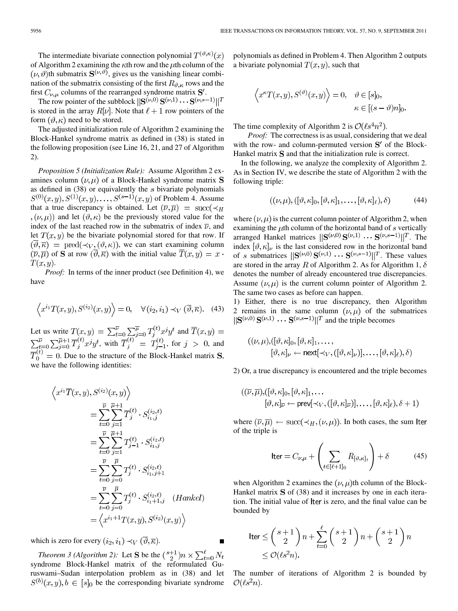The intermediate bivariate connection polynomial  $T^{(\vartheta,\kappa)}(x)$ of Algorithm 2 examining the  $\kappa$ th row and the  $\mu$ th column of the  $(\nu, \vartheta)$ th submatrix  $S^{(\nu, \vartheta)}$ , gives us the vanishing linear combination of the submatrix consisting of the first  $R_{\vartheta,\kappa}$  rows and the first  $C_{\nu,\mu}$  columns of the rearranged syndrome matrix  $S'$ .

The row pointer of the subblock  $||S^{(\nu,0)}S^{(\nu,1)} \cdots S^{(\nu,s-1)}||^T$ is stored in the array  $R[\nu]$ . Note that  $\ell + 1$  row pointers of the form  $(\vartheta, \kappa)$  need to be stored.

The adjusted initialization rule of Algorithm 2 examining the Block-Hankel syndrome matrix as defined in (38) is stated in the following proposition (see Line 16, 21, and 27 of Algorithm 2).

*Proposition 5 (Initialization Rule):* Assume Algorithm 2 examines column  $(\nu, \mu)$  of a Block-Hankel syndrome matrix **S** as defined in  $(38)$  or equivalently the s bivariate polynomials  $S^{(0)}(x, y), S^{(1)}(x, y), \ldots, S^{(s-1)}(x, y)$  of Problem 4. Assume that a true discrepancy is obtained. Let  $(\overline{\nu}, \overline{\mu}) = \text{succ}(\prec_H$  $(\nu, \mu)$  and let  $(\vartheta, \kappa)$  be the previously stored value for the index of the last reached row in the submatrix of index  $\overline{\nu}$ , and let  $T(x, y)$  be the bivariate polynomial stored for that row. If  $(\overline{\vartheta}, \overline{\kappa}) = \text{pred}(\prec_V, (\vartheta, \kappa))$ , we can start examining column  $(\overline{\nu}, \overline{\mu})$  of **S** at row  $(\overline{\vartheta}, \overline{\kappa})$  with the initial value  $\overline{T}(x, y) = x$ .  $T(x, y)$ .

*Proof:* In terms of the inner product (see Definition 4), we have

$$
\left\langle x^{i_1} T(x,y), S^{(i_2)}(x,y) \right\rangle = 0, \quad \forall (i_2, i_1) \prec_V (\overline{\vartheta}, \overline{\kappa}). \quad (43)
$$

Let us write  $T(x,y) = \sum_{t=0}^{\nu} \sum_{i=0}^{\mu} T_i^{(t)} x^j y^t$  and , with  $T_i^{(i)} = T_{i-1}^{(i)}$ , for  $j > 0$ , and  $\overline{T}_0^{(t)} = 0$ . Due to the structure of the Block-Hankel matrix **S**, we have the following identities:

$$
x^{i_1} \overline{T}(x, y), S^{(i_2)}(x, y) \rangle
$$
  
\n
$$
= \sum_{t=0}^{\overline{\nu}} \sum_{j=1}^{\overline{\mu}+1} \overline{T}_j^{(t)} \cdot S_{i_1, j}^{(i_2, t)}
$$
  
\n
$$
= \sum_{t=0}^{\overline{\nu}} \sum_{j=1}^{\overline{\mu}+1} T_{j-1}^{(t)} \cdot S_{i_1, j}^{(i_2, t)}
$$
  
\n
$$
= \sum_{t=0}^{\overline{\nu}} \sum_{j=0}^{\overline{\mu}} T_j^{(t)} \cdot S_{i_1, j+1}^{(i_2, t)}
$$
  
\n
$$
= \sum_{t=0}^{\overline{\nu}} \sum_{j=0}^{\overline{\mu}} T_j^{(t)} \cdot S_{i_1+1, j}^{(i_2, t)} \quad (Hankel)
$$
  
\n
$$
= \left\langle x^{i_1+1} T(x, y), S^{(i_2)}(x, y) \right\rangle
$$

which is zero for every  $(i_2, i_1) \prec_V (\overline{\vartheta}, \overline{\kappa})$ .

*Theorem 3 (Algorithm 2):* Let **S** be the  $\binom{s+1}{2}n \times \sum_{t=0}^{l} N_t$ syndrome Block-Hankel matrix of the reformulated Guruswami–Sudan interpolation problem as in (38) and let  $S^{(b)}(x, y), b \in [s]_0$  be the corresponding bivariate syndrome

polynomials as defined in Problem 4. Then Algorithm 2 outputs a bivariate polynomial  $T(x, y)$ , such that

$$
\left\langle x^{\kappa} T(x, y), S^{(\vartheta)}(x, y) \right\rangle = 0, \quad \vartheta \in [s]_0,
$$
  

$$
\kappa \in [(s - \vartheta)n]_0.
$$

The time complexity of Algorithm 2 is  $\mathcal{O}(\ell s^4 n^2)$ .

*Proof:* The correctness is as usual, considering that we deal with the row- and column-permuted version  $S'$  of the Block-Hankel matrix S and that the initialization rule is correct.

In the following, we analyze the complexity of Algorithm 2. As in Section IV, we describe the state of Algorithm 2 with the following triple:

$$
((\nu,\mu),([\vartheta,\kappa]_0,[\vartheta,\kappa]_1,\ldots,[\vartheta,\kappa]_\ell),\delta)
$$
 (44)

where  $(\nu, \mu)$  is the current column pointer of Algorithm 2, when examining the  $\mu$ th column of the horizontal band of s vertically arranged Hankel matrices  $||S^{(\nu,0)}S^{(\nu,1)} \cdots S^{(\nu,s-1)}||^T$ . The index  $[\vartheta,\kappa]_{\nu}$  is the last considered row in the horizontal band of s submatrices  $\|\mathbf{S}^{(\nu,0)}\mathbf{S}^{(\nu,1)}\cdots\mathbf{S}^{(\nu,s-1)}\|^T$ . These values are stored in the array R of Algorithm 2. As for Algorithm 1,  $\delta$ denotes the number of already encountered true discrepancies. Assume  $(\nu, \mu)$  is the current column pointer of Algorithm 2. The same two cases as before can happen.

1) Either, there is no true discrepancy, then Algorithm 2 remains in the same column  $(\nu, \mu)$  of the submatrices  $\|\mathbf{S}^{(\nu,0)}\mathbf{S}^{(\nu,1)}\cdots\mathbf{S}^{(\nu,s-1)}\|^T$  and the triple becomes

$$
((\nu,\mu),([\vartheta,\kappa]_0,[\vartheta,\kappa]_1,\ldots,[\vartheta,\kappa]_\nu\leftarrow \text{next}[\prec_V,([\vartheta,\kappa]_\nu)],\ldots,[\vartheta,\kappa]_\ell),\delta)
$$

2) Or, a true discrepancy is encountered and the triple becomes

$$
\begin{aligned} ((\overline{\nu}, \overline{\mu}),([\vartheta,\kappa]_0, [\vartheta,\kappa]_1, \dots \\ & [\vartheta,\kappa]_{\overline{\nu}} \leftarrow \text{prev}[\prec_V, ([\vartheta,\kappa]_{\overline{\nu}})], \dots, [\vartheta,\kappa]_{\ell}), \delta + 1) \end{aligned}
$$

where  $(\overline{\nu}, \overline{\mu}) \leftarrow \text{succ}(\prec_H, (\nu, \mu))$ . In both cases, the sum Iter of the triple is

$$
\text{Iter} = C_{\nu,\mu} + \left(\sum_{t \in [\ell+1]_0} R_{[\vartheta,\kappa]_t}\right) + \delta \tag{45}
$$

when Algorithm 2 examines the  $(\nu, \mu)$ th column of the Block-Hankel matrix  $S$  of (38) and it increases by one in each iteration. The initial value of Iter is zero, and the final value can be bounded by

$$
\begin{aligned} \n\text{Iter} &\leq \binom{s+1}{2} n + \sum_{t=0}^{\ell} \binom{s+1}{2} n + \binom{s+1}{2} n \\ \n&\leq \mathcal{O}(\ell s^2 n). \n\end{aligned}
$$

The number of iterations of Algorithm 2 is bounded by  $\mathcal{O}(\ell s^2 n)$ .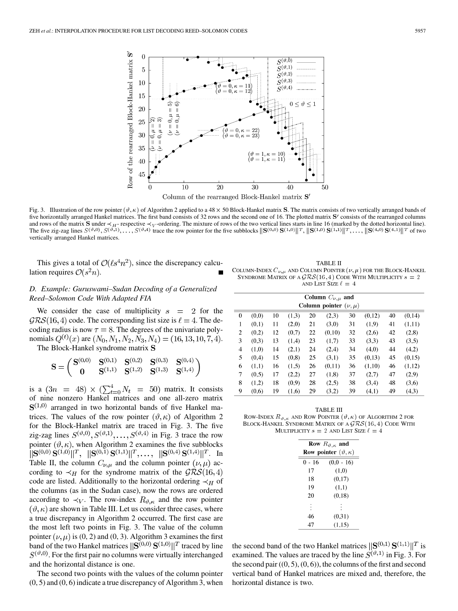

Fig. 3. Illustration of the row pointer  $(\vartheta, \kappa)$  of Algorithm 2 applied to a 48  $\times$  50 Block-Hankel matrix S. The matrix consists of two vertically arranged bands of five horizontally arranged Hankel matrices. The first band consists of 32 rows and the second one of 16. The plotted matrix S' consists of the rearranged columns and rows of the matrix **S** under  $\prec_{H}$ -respective  $\prec_{V}$ -ordering. The mixture of rows of the two vertical lines starts in line 16 (marked by the dotted horizontal line). The five zig-zag lines  $S^{(\vartheta,0)}, S^{(\vartheta,1)}, \ldots, S^{(\vartheta,4)}$  trace the row pointer for the five subblocks  $\|\mathbf{S}^{(0,0)}\mathbf{S}^{(1,0)}\|^{T}, \|\mathbf{S}^{(1,0)}\mathbf{S}^{(1,1)}\|^{T}, \ldots, \|\mathbf{S}^{(4,0)}\mathbf{S}^{(4,1)}\|^{T}$  of two vertically arranged Hankel matrices.

This gives a total of  $\mathcal{O}(\ell s^4 n^2)$ , since the discrepancy calculation requires  $\mathcal{O}(s^2n)$ .

## *D. Example: Guruswami–Sudan Decoding of a Generalized Reed–Solomon Code With Adapted FIA*

We consider the case of multiplicity  $s = 2$  for the  $GRS(16, 4)$  code. The corresponding list size is  $\ell = 4$ . The decoding radius is now  $\tau = 8$ . The degrees of the univariate polynomials  $Q^{(t)}(x)$  are  $(N_0, N_1, N_2, N_3, N_4) = (16, 13, 10, 7, 4)$ .

The Block-Hankel syndrome matrix S

**College** 

$$
\mathbf{S} = \left( \begin{matrix} \mathbf{S}^{(0,0)} & \mathbf{S}^{(0,1)} & \mathbf{S}^{(0,2)} & \mathbf{S}^{(0,3)} & \mathbf{S}^{(0,4)} \\ \mathbf{0} & \mathbf{S}^{(1,1)} & \mathbf{S}^{(1,2)} & \mathbf{S}^{(1,3)} & \mathbf{S}^{(1,4)} \end{matrix} \right)
$$

is a  $(3n = 48) \times (\sum_{t=0}^{4} N_t = 50)$  matrix. It consists of nine nonzero Hankel matrices and one all-zero matrix  $S^{(1,0)}$  arranged in two horizontal bands of five Hankel matrices. The values of the row pointer  $(\vartheta, \kappa)$  of Algorithm 2 for the Block-Hankel matrix are traced in Fig. 3. The five zig-zag lines  $S^{(\vartheta,0)}, S^{(\vartheta,1)}, \ldots, S^{(\vartheta,4)}$  in Fig. 3 trace the row pointer  $(\vartheta, \kappa)$ , when Algorithm 2 examines the five subblocks  $\|\mathbf{S}^{(0,0)}\mathbf{S}^{(1,0)}\|^T$ ,  $\|\mathbf{S}^{(0,1)}\mathbf{S}^{(1,1)}\|^T$ , ...,  $\|\mathbf{S}^{(0,4)}\mathbf{S}^{(1,4)}\|^T$ . In Table II, the column  $C_{\nu,\mu}$  and the column pointer  $(\nu,\mu)$  according to  $\prec_H$  for the syndrome matrix of the  $\mathcal{GRS}(16,4)$ code are listed. Additionally to the horizontal ordering  $\prec_H$  of the columns (as in the Sudan case), now the rows are ordered according to  $\prec_V$ . The row-index  $R_{\vartheta,\kappa}$  and the row pointer  $(\vartheta, \kappa)$  are shown in Table III. Let us consider three cases, where a true discrepancy in Algorithm 2 occurred. The first case are the most left two points in Fig. 3. The value of the column pointer  $(\nu, \mu)$  is (0, 2) and (0, 3). Algorithm 3 examines the first band of the two Hankel matrices  $\|\mathbf{S}^{(0,0)}\mathbf{S}^{(1,0)}\|^T$  traced by line  $S^{(\vartheta,0)}$ . For the first pair no columns were virtually interchanged and the horizontal distance is one.

The second two points with the values of the column pointer (0, 5) and (0, 6) indicate a true discrepancy of Algorithm 3, when

TABLE II COLUMN-INDEX  $C_{\nu,\mu}$  and Column Pointer  $(\nu,\mu)$  for the Block-Hankel SYNDROME MATRIX OF A  $\mathcal{GRS}(16,4)$  CODE WITH MULTIPLICITY  $s=2$ AND LIST SIZE  $\ell\,=\,4$ 

|                             | Column $C_{\nu,\mu}$ and |    |       |    |        |    |        |    |        |
|-----------------------------|--------------------------|----|-------|----|--------|----|--------|----|--------|
| Column pointer $(\nu, \mu)$ |                          |    |       |    |        |    |        |    |        |
| 0                           | (0,0)                    | 10 | (1,3) | 20 | (2,3)  | 30 | (0,12) | 40 | (0,14) |
| 1                           | (0,1)                    | 11 | (2,0) | 21 | (3,0)  | 31 | (1,9)  | 41 | (1,11) |
| $\overline{2}$              | (0,2)                    | 12 | (0,7) | 22 | (0,10) | 32 | (2,6)  | 42 | (2,8)  |
| 3                           | (0,3)                    | 13 | (1,4) | 23 | (1,7)  | 33 | (3,3)  | 43 | (3,5)  |
| 4                           | (1,0)                    | 14 | (2,1) | 24 | (2,4)  | 34 | (4,0)  | 44 | (4,2)  |
| 5                           | (0,4)                    | 15 | (0,8) | 25 | (3,1)  | 35 | (0,13) | 45 | (0.15) |
| 6                           | (1,1)                    | 16 | (1,5) | 26 | (0,11) | 36 | (1,10) | 46 | (1,12) |
| 7                           | (0,5)                    | 17 | (2,2) | 27 | (1,8)  | 37 | (2,7)  | 47 | (2,9)  |
| 8                           | (1,2)                    | 18 | (0,9) | 28 | (2,5)  | 38 | (3,4)  | 48 | (3,6)  |
| 9                           | (0,6)                    | 19 | (1,6) | 29 | (3,2)  | 39 | (4,1)  | 49 | (4,3)  |

TABLE III ROW-INDEX  $R_{\vartheta,\kappa}$  and ROW POINTER  $(\vartheta,\kappa)$  of Algorithm 2 for BLOCK-HANKEL SYNDROME MATRIX OF A  $\mathcal{GRS}(16,4)$  Code With MULTIPLICITY  $s = 2$  and LIST SIZE  $\ell = 4$ 

| Row $R_{\vartheta,\kappa}$ and           |              |  |  |  |  |
|------------------------------------------|--------------|--|--|--|--|
| <b>Row pointer</b> $(\vartheta, \kappa)$ |              |  |  |  |  |
| 0 - 16                                   | $(0.0 - 16)$ |  |  |  |  |
| 17                                       | (1,0)        |  |  |  |  |
| 18                                       | (0,17)       |  |  |  |  |
| 19                                       | (1,1)        |  |  |  |  |
| 20                                       | (0.18)       |  |  |  |  |
|                                          |              |  |  |  |  |
| 46                                       | (0.31)       |  |  |  |  |
| 47                                       | (1,15)       |  |  |  |  |

the second band of the two Hankel matrices  $\|\mathbf{S}^{(0,1)}\mathbf{S}^{(1,1)}\|^T$  is examined. The values are traced by the line  $S^{(\vartheta,1)}$  in Fig. 3. For the second pair  $((0, 5), (0, 6))$ , the columns of the first and second vertical band of Hankel matrices are mixed and, therefore, the horizontal distance is two.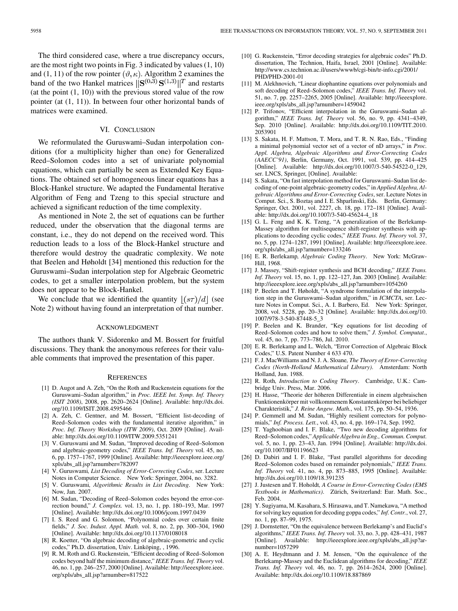The third considered case, where a true discrepancy occurs, are the most right two points in Fig. 3 indicated by values (1, 10) and (1, 11) of the row pointer  $(\vartheta, \kappa)$ . Algorithm 2 examines the band of the two Hankel matrices  $\|\mathbf{S}^{(0,3)}\mathbf{S}^{(1,3)}\|^T$  and restarts (at the point  $(1, 10)$ ) with the previous stored value of the row pointer (at (1, 11)). In between four other horizontal bands of matrices were examined.

#### VI. CONCLUSION

We reformulated the Guruswami–Sudan interpolation conditions (for a multiplicity higher than one) for Generalized Reed–Solomon codes into a set of univariate polynomial equations, which can partially be seen as Extended Key Equations. The obtained set of homogeneous linear equations has a Block-Hankel structure. We adapted the Fundamental Iterative Algorithm of Feng and Tzeng to this special structure and achieved a significant reduction of the time complexity.

As mentioned in Note 2, the set of equations can be further reduced, under the observation that the diagonal terms are constant, i.e., they do not depend on the received word. This reduction leads to a loss of the Block-Hankel structure and therefore would destroy the quadratic complexity. We note that Beelen and Høholdt [34] mentioned this reduction for the Guruswami–Sudan interpolation step for Algebraic Geometric codes, to get a smaller interpolation problem, but the system does not appear to be Block-Hankel.

We conclude that we identified the quantity  $|(s\tau)/d|$  (see Note 2) without having found an interpretation of that number.

#### ACKNOWLEDGMENT

The authors thank V. Sidorenko and M. Bossert for fruitful discussions. They thank the anonymous referees for their valuable comments that improved the presentation of this paper.

#### **REFERENCES**

- [1] D. Augot and A. Zeh, "On the Roth and Ruckenstein equations for the Guruswami–Sudan algorithm," in *Proc. IEEE Int. Symp. Inf. Theory (ISIT 2008)*, 2008, pp. 2620–2624 [Online]. Available: http://dx.doi. org/10.1109/ISIT.2008.4595466
- [2] A. Zeh, C. Gentner, and M. Bossert, "Efficient list-decoding of Reed–Solomon codes with the fundamental iterative algorithm," in *Proc. Inf. Theory Workshop (ITW 2009)*, Oct. 2009 [Online]. Available: http://dx.doi.org/10.1109/ITW.2009.5351241
- [3] V. Guruswami and M. Sudan, "Improved decoding of Reed–Solomon and algebraic-geometry codes," *IEEE Trans. Inf. Theory* vol. 45, no. 6, pp. 1757–1767, 1999 [Online]. Available: http://ieeexplore.ieee.org/ xpls/abs\_all.jsp?arnumber=782097
- [4] V. Guruswami*, List Decoding of Error-Correcting Codes*, ser. Lecture Notes in Computer Science. New York: Springer, 2004, no. 3282.
- [5] V. Guruswami*, Algorithmic Results in List Decoding*. New York: Now, Jan. 2007.
- [6] M. Sudan, "Decoding of Reed–Solomon codes beyond the error-correction bound," *J. Complex.* vol. 13, no. 1, pp. 180–193, Mar. 1997 [Online]. Available: http://dx.doi.org/10.1006/jcom.1997.0439
- [7] I. S. Reed and G. Solomon, "Polynomial codes over certain finite fields," *J. Soc. Indust. Appl. Math.* vol. 8, no. 2, pp. 300–304, 1960 [Online]. Available: http://dx.doi.org/10.1137/0108018
- [8] R. Koetter, "On algebraic decoding of algebraic-geometric and cyclic codes," Ph.D. dissertation, Univ. Linköping, , 1996.
- [9] R. M. Roth and G. Ruckenstein, "Efficient decoding of Reed–Solomon codes beyond half the minimum distance," *IEEE Trans. Inf. Theory* vol. 46, no. 1, pp. 246–257, 2000 [Online]. Available: http://ieeexplore.ieee. org/xpls/abs\_all.jsp?arnumber=817522
- [10] G. Ruckenstein, "Error decoding strategies for algebraic codes" Ph.D. dissertation, The Technion, Haifa, Israel, 2001 [Online]. Available: http://www.cs.technion.ac.il/users/wwwb/cgi-bin/tr-info.cgi/2001/ PHD/PHD-2001-01
- [11] M. Alekhnovich, "Linear diophantine equations over polynomials and soft decoding of Reed–Solomon codes," *IEEE Trans. Inf. Theory* vol. 51, no. 7, pp. 2257–2265, 2005 [Online]. Available: http://ieeexplore. ieee.org/xpls/abs\_all.jsp?arnumber=1459042
- [12] P. Trifonov, "Efficient interpolation in the Guruswami–Sudan algorithm," *IEEE Trans. Inf. Theory* vol. 56, no. 9, pp. 4341–4349, Sep. 2010 [Online]. Available: http://dx.doi.org/10.1109/TIT.2010. 2053901
- [13] S. Sakata, H. F. Mattson, T. Mora, and T. R. N. Rao, Eds., "Finding a minimal polynomial vector set of a vector of nD arrays," in *Proc. Appl. Algebra, Algebraic Algorithms and Error-Correcting Codes (AAECC'91)*, Berlin, Germany, Oct. 1991, vol. 539, pp. 414–425 [Online]. Available: http://dx.doi.org/10.1007/3-540-54522-0\_129, ser. LNCS, Springer, [Online]. Available:
- [14] S. Sakata, "On fast interpolation method for Guruswami–Sudan list decoding of one-point algebraic-geometry codes," in *Applied Algebra, Algebraic Algorithms and Error-Correcting Codes*, ser. Lecture Notes in Comput. Sci., S. Boztaş and I. E. Shparlinski, Eds. Berlin, Germany: Springer, Oct. 2001, vol. 2227, ch. 18, pp. 172–181 [Online]. Available: http://dx.doi.org/10.1007/3-540-45624-4\_18
- [15] G. L. Feng and K. K. Tzeng, "A generalization of the Berlekamp-Massey algorithm for multisequence shift-register synthesis with applications to decoding cyclic codes," *IEEE Trans. Inf. Theory* vol. 37, no. 5, pp. 1274–1287, 1991 [Online]. Available: http://ieeexplore.ieee. org/xpls/abs\_all.jsp?arnumber=133246
- [16] E. R. Berlekamp*, Algebraic Coding Theory*. New York: McGraw-Hill, 1968.
- [17] J. Massey, "Shift-register synthesis and BCH decoding," *IEEE Trans. Inf. Theory* vol. 15, no. 1, pp. 122–127, Jan. 2003 [Online]. Available: http://ieeexplore.ieee.org/xpls/abs\_all.jsp?arnumber=1054260
- [18] P. Beelen and T. Høholdt, "A syndrome formulation of the interpolation step in the Guruswami–Sudan algorithm," in *ICMCTA*, ser. Lecture Notes in Comput. Sci., A. I. Barbero, Ed. New York: Springer, 2008, vol. 5228, pp. 20–32 [Online]. Available: http://dx.doi.org/10. 1007/978-3-540-87448-5\_3
- [19] P. Beelen and K. Brander, "Key equations for list decoding of Reed–Solomon codes and how to solve them," *J. Symbol. Computat.*, vol. 45, no. 7, pp. 773–786, Jul. 2010.
- [20] E. R. Berlekamp and L. Welch, "Error Correction of Algebraic Block Codes," U.S. Patent Number 4 633 470.
- [21] F. J. MacWilliams and N. J. A. Sloane*, The Theory of Error-Correcting Codes (North-Holland Mathematical Library)*. Amsterdam: North Holland, Jun. 1988.
- [22] R. Roth*, Introduction to Coding Theory*. Cambridge, U.K.: Cambridge Univ. Press, Mar. 2006.
- [23] H. Hasse, "Theorie der höheren Differentiale in einem algebraischen Funktionenkörper mit vollkommenem Konstantenkörper bei beliebiger Charakteristik," *J. Reine Angew. Math.*, vol. 175, pp. 50–54, 1936.
- [24] P. Gemmell and M. Sudan, "Highly resilient correctors for polynomials," *Inf. Process. Lett.*, vol. 43, no. 4, pp. 169–174, Sep. 1992.
- [25] T. Yaghoobian and I. F. Blake, "Two new decoding algorithms for Reed–Solomon codes," *Applicable Algebra in Eng., Commun. Comput.* vol. 5, no. 1, pp. 23–43, Jan. 1994 [Online]. Available: http://dx.doi. org/10.1007/BF01196623
- [26] D. Dabiri and I. F. Blake, "Fast parallel algorithms for decoding Reed–Solomon codes based on remainder polynomials," *IEEE Trans. Inf. Theory* vol. 41, no. 4, pp. 873–885, 1995 [Online]. Available: http://dx.doi.org/10.1109/18.391235
- [27] J. Justesen and T. Hoholdt*, A Course in Error-Correcting Codes (EMS Textbooks in Mathematics)*. Zürich, Switzerland: Eur. Math. Soc., Feb. 2004.
- [28] Y. Sugiyama, M. Kasahara, S. Hirasawa, and T. Namekawa, "A method for solving key equation for decoding goppa codes," *Inf. Contr.*, vol. 27, no. 1, pp. 87–99, 1975.
- [29] J. Dornstetter, "On the equivalence between Berlekamp's and Euclid's algorithms," *IEEE Trans. Inf. Theory* vol. 33, no. 3, pp. 428–431, 1987 [Online]. Available: http://ieeexplore.ieee.org/xpls/abs\_all.jsp?arnumber=1057299
- [30] A. E. Heydtmann and J. M. Jensen, "On the equivalence of the Berlekamp-Massey and the Euclidean algorithms for decoding," *IEEE Trans. Inf. Theory* vol. 46, no. 7, pp. 2614–2624, 2000 [Online]. Available: http://dx.doi.org/10.1109/18.887869